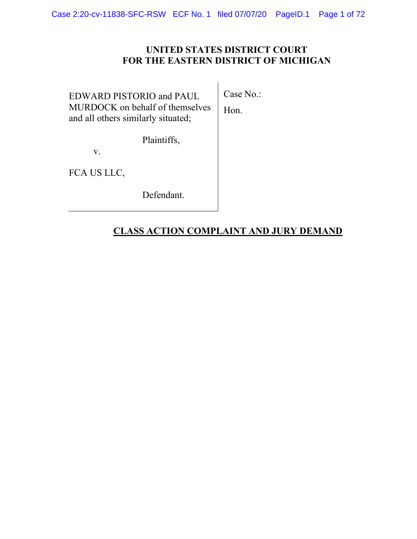Case 2:20-cv-11838-SFC-RSW ECF No. 1 filed 07/07/20 PageID.1 Page 1 of 72

# **UNITED STATES DISTRICT COURT FOR THE EASTERN DISTRICT OF MICHIGAN**

Case No.:

Hon.

EDWARD PISTORIO and PAUL MURDOCK on behalf of themselves and all others similarly situated;

Plaintiffs,

FCA US LLC,

v.

Defendant.

# **CLASS ACTION COMPLAINT AND JURY DEMAND**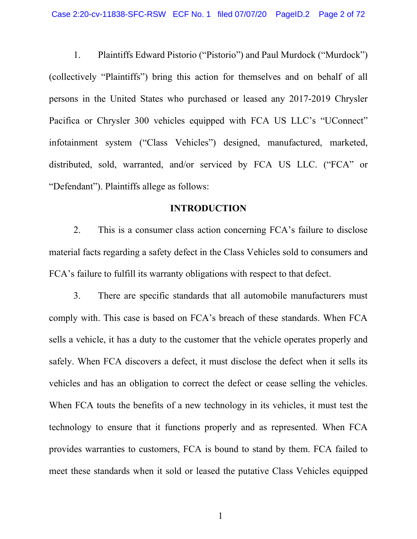1. Plaintiffs Edward Pistorio ("Pistorio") and Paul Murdock ("Murdock") (collectively "Plaintiffs") bring this action for themselves and on behalf of all persons in the United States who purchased or leased any 2017-2019 Chrysler Pacifica or Chrysler 300 vehicles equipped with FCA US LLC's "UConnect" infotainment system ("Class Vehicles") designed, manufactured, marketed, distributed, sold, warranted, and/or serviced by FCA US LLC. ("FCA" or "Defendant"). Plaintiffs allege as follows:

#### **INTRODUCTION**

2. This is a consumer class action concerning FCA's failure to disclose material facts regarding a safety defect in the Class Vehicles sold to consumers and FCA's failure to fulfill its warranty obligations with respect to that defect.

3. There are specific standards that all automobile manufacturers must comply with. This case is based on FCA's breach of these standards. When FCA sells a vehicle, it has a duty to the customer that the vehicle operates properly and safely. When FCA discovers a defect, it must disclose the defect when it sells its vehicles and has an obligation to correct the defect or cease selling the vehicles. When FCA touts the benefits of a new technology in its vehicles, it must test the technology to ensure that it functions properly and as represented. When FCA provides warranties to customers, FCA is bound to stand by them. FCA failed to meet these standards when it sold or leased the putative Class Vehicles equipped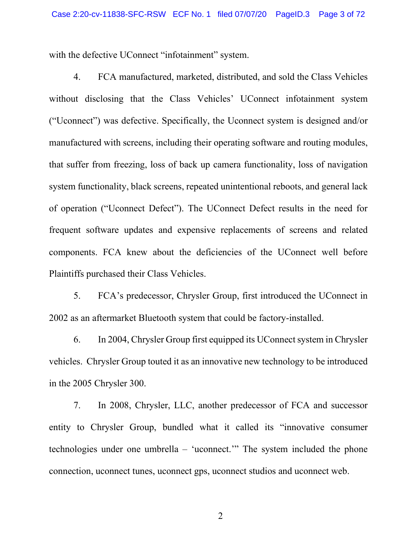with the defective UConnect "infotainment" system.

4. FCA manufactured, marketed, distributed, and sold the Class Vehicles without disclosing that the Class Vehicles' UConnect infotainment system ("Uconnect") was defective. Specifically, the Uconnect system is designed and/or manufactured with screens, including their operating software and routing modules, that suffer from freezing, loss of back up camera functionality, loss of navigation system functionality, black screens, repeated unintentional reboots, and general lack of operation ("Uconnect Defect"). The UConnect Defect results in the need for frequent software updates and expensive replacements of screens and related components. FCA knew about the deficiencies of the UConnect well before Plaintiffs purchased their Class Vehicles.

5. FCA's predecessor, Chrysler Group, first introduced the UConnect in 2002 as an aftermarket Bluetooth system that could be factory-installed.

6. In 2004, Chrysler Group first equipped its UConnect system in Chrysler vehicles. Chrysler Group touted it as an innovative new technology to be introduced in the 2005 Chrysler 300.

7. In 2008, Chrysler, LLC, another predecessor of FCA and successor entity to Chrysler Group, bundled what it called its "innovative consumer technologies under one umbrella – 'uconnect.'" The system included the phone connection, uconnect tunes, uconnect gps, uconnect studios and uconnect web.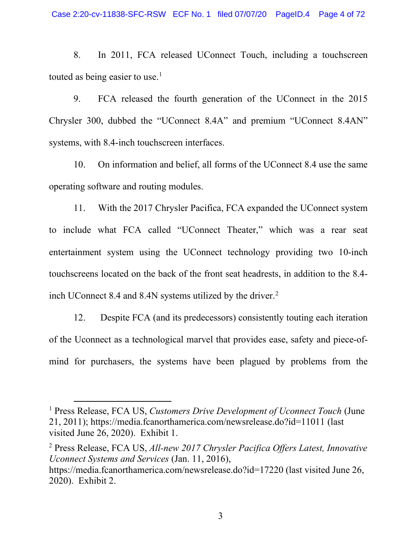8. In 2011, FCA released UConnect Touch, including a touchscreen touted as being easier to use.<sup>1</sup>

9. FCA released the fourth generation of the UConnect in the 2015 Chrysler 300, dubbed the "UConnect 8.4A" and premium "UConnect 8.4AN" systems, with 8.4-inch touchscreen interfaces.

10. On information and belief, all forms of the UConnect 8.4 use the same operating software and routing modules.

11. With the 2017 Chrysler Pacifica, FCA expanded the UConnect system to include what FCA called "UConnect Theater," which was a rear seat entertainment system using the UConnect technology providing two 10-inch touchscreens located on the back of the front seat headrests, in addition to the 8.4 inch UConnect 8.4 and 8.4N systems utilized by the driver.<sup>2</sup>

12. Despite FCA (and its predecessors) consistently touting each iteration of the Uconnect as a technological marvel that provides ease, safety and piece-ofmind for purchasers, the systems have been plagued by problems from the

<sup>2</sup> Press Release, FCA US, *All-new 2017 Chrysler Pacifica Offers Latest, Innovative Uconnect Systems and Services* (Jan. 11, 2016), https://media.fcanorthamerica.com/newsrelease.do?id=17220 (last visited June 26, 2020). Exhibit 2.

<sup>1</sup> Press Release, FCA US, *Customers Drive Development of Uconnect Touch* (June 21, 2011); https://media.fcanorthamerica.com/newsrelease.do?id=11011 (last visited June 26, 2020). Exhibit 1.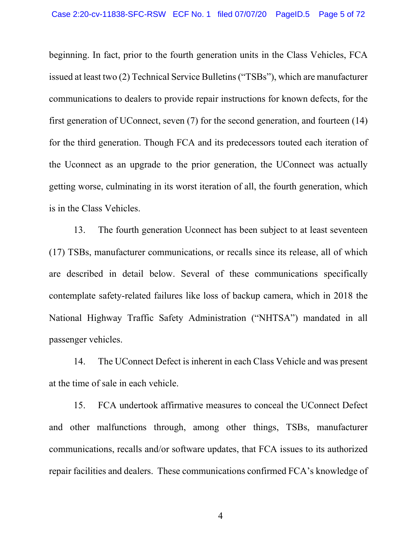beginning. In fact, prior to the fourth generation units in the Class Vehicles, FCA issued at least two (2) Technical Service Bulletins ("TSBs"), which are manufacturer communications to dealers to provide repair instructions for known defects, for the first generation of UConnect, seven (7) for the second generation, and fourteen (14) for the third generation. Though FCA and its predecessors touted each iteration of the Uconnect as an upgrade to the prior generation, the UConnect was actually getting worse, culminating in its worst iteration of all, the fourth generation, which is in the Class Vehicles.

13. The fourth generation Uconnect has been subject to at least seventeen (17) TSBs, manufacturer communications, or recalls since its release, all of which are described in detail below. Several of these communications specifically contemplate safety-related failures like loss of backup camera, which in 2018 the National Highway Traffic Safety Administration ("NHTSA") mandated in all passenger vehicles.

14. The UConnect Defect is inherent in each Class Vehicle and was present at the time of sale in each vehicle.

15. FCA undertook affirmative measures to conceal the UConnect Defect and other malfunctions through, among other things, TSBs, manufacturer communications, recalls and/or software updates, that FCA issues to its authorized repair facilities and dealers. These communications confirmed FCA's knowledge of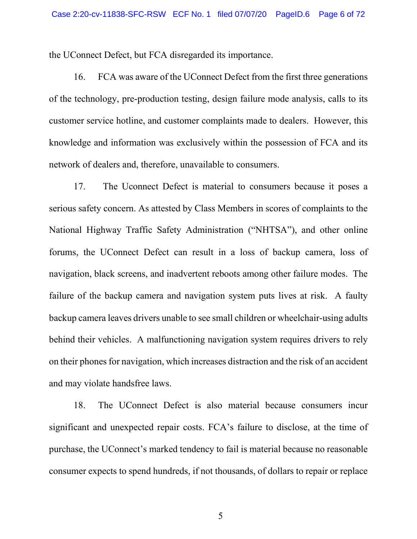the UConnect Defect, but FCA disregarded its importance.

16. FCA was aware of the UConnect Defect from the first three generations of the technology, pre-production testing, design failure mode analysis, calls to its customer service hotline, and customer complaints made to dealers. However, this knowledge and information was exclusively within the possession of FCA and its network of dealers and, therefore, unavailable to consumers.

17. The Uconnect Defect is material to consumers because it poses a serious safety concern. As attested by Class Members in scores of complaints to the National Highway Traffic Safety Administration ("NHTSA"), and other online forums, the UConnect Defect can result in a loss of backup camera, loss of navigation, black screens, and inadvertent reboots among other failure modes. The failure of the backup camera and navigation system puts lives at risk. A faulty backup camera leaves drivers unable to see small children or wheelchair-using adults behind their vehicles. A malfunctioning navigation system requires drivers to rely on their phones for navigation, which increases distraction and the risk of an accident and may violate handsfree laws.

18. The UConnect Defect is also material because consumers incur significant and unexpected repair costs. FCA's failure to disclose, at the time of purchase, the UConnect's marked tendency to fail is material because no reasonable consumer expects to spend hundreds, if not thousands, of dollars to repair or replace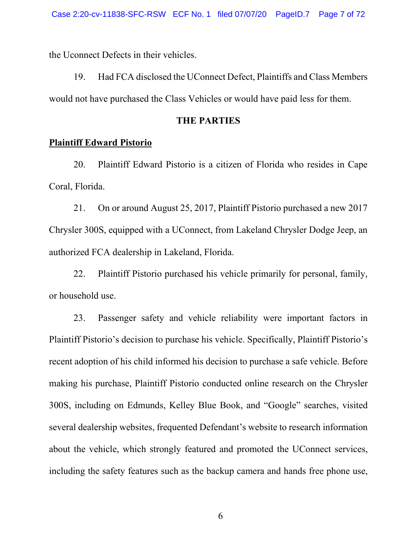the Uconnect Defects in their vehicles.

19. Had FCA disclosed the UConnect Defect, Plaintiffs and Class Members would not have purchased the Class Vehicles or would have paid less for them.

## **THE PARTIES**

# **Plaintiff Edward Pistorio**

20. Plaintiff Edward Pistorio is a citizen of Florida who resides in Cape Coral, Florida.

21. On or around August 25, 2017, Plaintiff Pistorio purchased a new 2017 Chrysler 300S, equipped with a UConnect, from Lakeland Chrysler Dodge Jeep, an authorized FCA dealership in Lakeland, Florida.

22. Plaintiff Pistorio purchased his vehicle primarily for personal, family, or household use.

23. Passenger safety and vehicle reliability were important factors in Plaintiff Pistorio's decision to purchase his vehicle. Specifically, Plaintiff Pistorio's recent adoption of his child informed his decision to purchase a safe vehicle. Before making his purchase, Plaintiff Pistorio conducted online research on the Chrysler 300S, including on Edmunds, Kelley Blue Book, and "Google" searches, visited several dealership websites, frequented Defendant's website to research information about the vehicle, which strongly featured and promoted the UConnect services, including the safety features such as the backup camera and hands free phone use,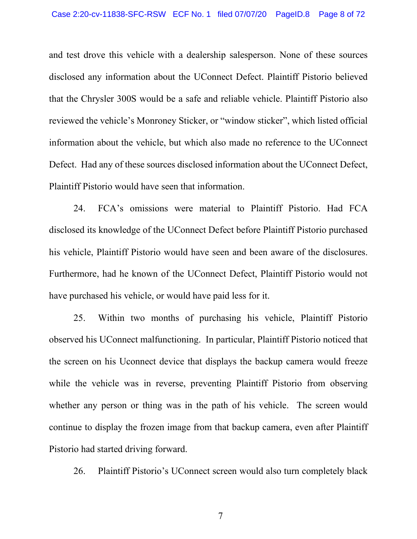and test drove this vehicle with a dealership salesperson. None of these sources disclosed any information about the UConnect Defect. Plaintiff Pistorio believed that the Chrysler 300S would be a safe and reliable vehicle. Plaintiff Pistorio also reviewed the vehicle's Monroney Sticker, or "window sticker", which listed official information about the vehicle, but which also made no reference to the UConnect Defect. Had any of these sources disclosed information about the UConnect Defect, Plaintiff Pistorio would have seen that information.

24. FCA's omissions were material to Plaintiff Pistorio. Had FCA disclosed its knowledge of the UConnect Defect before Plaintiff Pistorio purchased his vehicle, Plaintiff Pistorio would have seen and been aware of the disclosures. Furthermore, had he known of the UConnect Defect, Plaintiff Pistorio would not have purchased his vehicle, or would have paid less for it.

25. Within two months of purchasing his vehicle, Plaintiff Pistorio observed his UConnect malfunctioning. In particular, Plaintiff Pistorio noticed that the screen on his Uconnect device that displays the backup camera would freeze while the vehicle was in reverse, preventing Plaintiff Pistorio from observing whether any person or thing was in the path of his vehicle. The screen would continue to display the frozen image from that backup camera, even after Plaintiff Pistorio had started driving forward.

26. Plaintiff Pistorio's UConnect screen would also turn completely black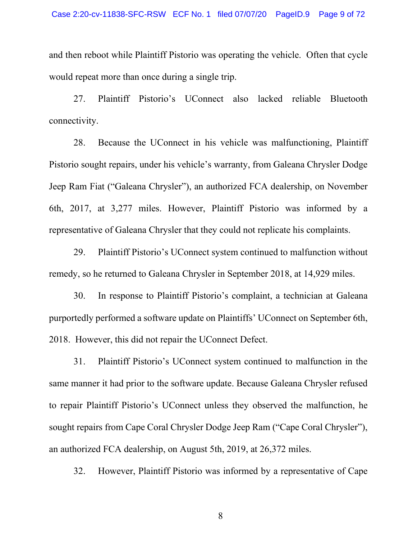and then reboot while Plaintiff Pistorio was operating the vehicle. Often that cycle would repeat more than once during a single trip.

27. Plaintiff Pistorio's UConnect also lacked reliable Bluetooth connectivity.

28. Because the UConnect in his vehicle was malfunctioning, Plaintiff Pistorio sought repairs, under his vehicle's warranty, from Galeana Chrysler Dodge Jeep Ram Fiat ("Galeana Chrysler"), an authorized FCA dealership, on November 6th, 2017, at 3,277 miles. However, Plaintiff Pistorio was informed by a representative of Galeana Chrysler that they could not replicate his complaints.

29. Plaintiff Pistorio's UConnect system continued to malfunction without remedy, so he returned to Galeana Chrysler in September 2018, at 14,929 miles.

30. In response to Plaintiff Pistorio's complaint, a technician at Galeana purportedly performed a software update on Plaintiffs' UConnect on September 6th, 2018. However, this did not repair the UConnect Defect.

31. Plaintiff Pistorio's UConnect system continued to malfunction in the same manner it had prior to the software update. Because Galeana Chrysler refused to repair Plaintiff Pistorio's UConnect unless they observed the malfunction, he sought repairs from Cape Coral Chrysler Dodge Jeep Ram ("Cape Coral Chrysler"), an authorized FCA dealership, on August 5th, 2019, at 26,372 miles.

32. However, Plaintiff Pistorio was informed by a representative of Cape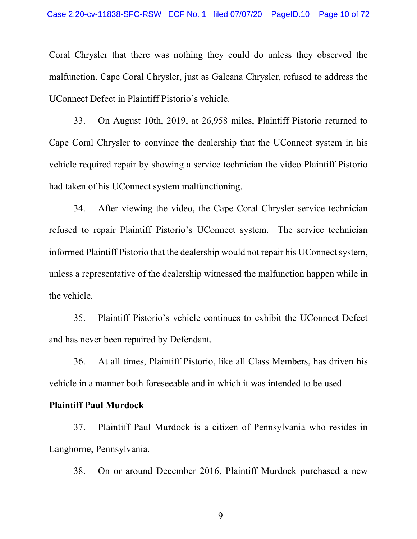Coral Chrysler that there was nothing they could do unless they observed the malfunction. Cape Coral Chrysler, just as Galeana Chrysler, refused to address the UConnect Defect in Plaintiff Pistorio's vehicle.

33. On August 10th, 2019, at 26,958 miles, Plaintiff Pistorio returned to Cape Coral Chrysler to convince the dealership that the UConnect system in his vehicle required repair by showing a service technician the video Plaintiff Pistorio had taken of his UConnect system malfunctioning.

34. After viewing the video, the Cape Coral Chrysler service technician refused to repair Plaintiff Pistorio's UConnect system. The service technician informed Plaintiff Pistorio that the dealership would not repair his UConnect system, unless a representative of the dealership witnessed the malfunction happen while in the vehicle.

35. Plaintiff Pistorio's vehicle continues to exhibit the UConnect Defect and has never been repaired by Defendant.

36. At all times, Plaintiff Pistorio, like all Class Members, has driven his vehicle in a manner both foreseeable and in which it was intended to be used.

## **Plaintiff Paul Murdock**

37. Plaintiff Paul Murdock is a citizen of Pennsylvania who resides in Langhorne, Pennsylvania.

38. On or around December 2016, Plaintiff Murdock purchased a new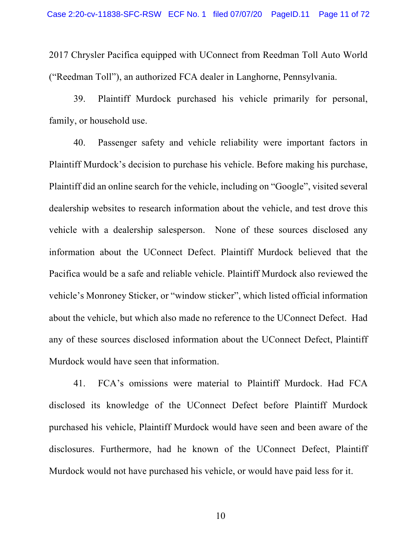2017 Chrysler Pacifica equipped with UConnect from Reedman Toll Auto World ("Reedman Toll"), an authorized FCA dealer in Langhorne, Pennsylvania.

39. Plaintiff Murdock purchased his vehicle primarily for personal, family, or household use.

40. Passenger safety and vehicle reliability were important factors in Plaintiff Murdock's decision to purchase his vehicle. Before making his purchase, Plaintiff did an online search for the vehicle, including on "Google", visited several dealership websites to research information about the vehicle, and test drove this vehicle with a dealership salesperson. None of these sources disclosed any information about the UConnect Defect. Plaintiff Murdock believed that the Pacifica would be a safe and reliable vehicle. Plaintiff Murdock also reviewed the vehicle's Monroney Sticker, or "window sticker", which listed official information about the vehicle, but which also made no reference to the UConnect Defect. Had any of these sources disclosed information about the UConnect Defect, Plaintiff Murdock would have seen that information.

41. FCA's omissions were material to Plaintiff Murdock. Had FCA disclosed its knowledge of the UConnect Defect before Plaintiff Murdock purchased his vehicle, Plaintiff Murdock would have seen and been aware of the disclosures. Furthermore, had he known of the UConnect Defect, Plaintiff Murdock would not have purchased his vehicle, or would have paid less for it.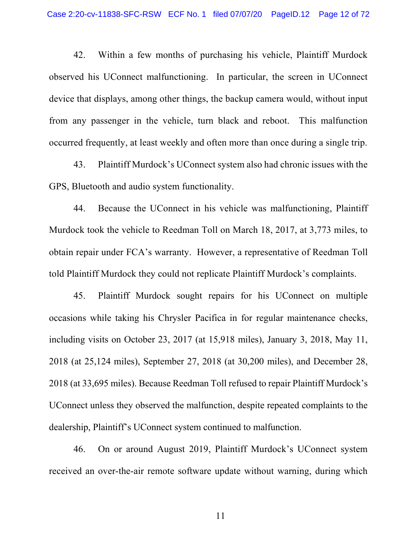42. Within a few months of purchasing his vehicle, Plaintiff Murdock observed his UConnect malfunctioning. In particular, the screen in UConnect device that displays, among other things, the backup camera would, without input from any passenger in the vehicle, turn black and reboot. This malfunction occurred frequently, at least weekly and often more than once during a single trip.

43. Plaintiff Murdock's UConnect system also had chronic issues with the GPS, Bluetooth and audio system functionality.

44. Because the UConnect in his vehicle was malfunctioning, Plaintiff Murdock took the vehicle to Reedman Toll on March 18, 2017, at 3,773 miles, to obtain repair under FCA's warranty. However, a representative of Reedman Toll told Plaintiff Murdock they could not replicate Plaintiff Murdock's complaints.

45. Plaintiff Murdock sought repairs for his UConnect on multiple occasions while taking his Chrysler Pacifica in for regular maintenance checks, including visits on October 23, 2017 (at 15,918 miles), January 3, 2018, May 11, 2018 (at 25,124 miles), September 27, 2018 (at 30,200 miles), and December 28, 2018 (at 33,695 miles). Because Reedman Toll refused to repair Plaintiff Murdock's UConnect unless they observed the malfunction, despite repeated complaints to the dealership, Plaintiff's UConnect system continued to malfunction.

46. On or around August 2019, Plaintiff Murdock's UConnect system received an over-the-air remote software update without warning, during which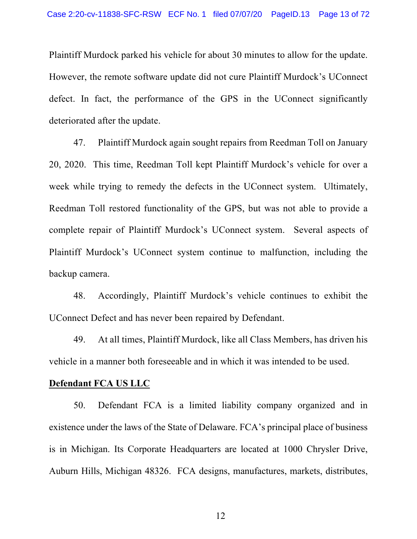Plaintiff Murdock parked his vehicle for about 30 minutes to allow for the update. However, the remote software update did not cure Plaintiff Murdock's UConnect defect. In fact, the performance of the GPS in the UConnect significantly deteriorated after the update.

47. Plaintiff Murdock again sought repairs from Reedman Toll on January 20, 2020. This time, Reedman Toll kept Plaintiff Murdock's vehicle for over a week while trying to remedy the defects in the UConnect system. Ultimately, Reedman Toll restored functionality of the GPS, but was not able to provide a complete repair of Plaintiff Murdock's UConnect system. Several aspects of Plaintiff Murdock's UConnect system continue to malfunction, including the backup camera.

48. Accordingly, Plaintiff Murdock's vehicle continues to exhibit the UConnect Defect and has never been repaired by Defendant.

49. At all times, Plaintiff Murdock, like all Class Members, has driven his vehicle in a manner both foreseeable and in which it was intended to be used.

#### **Defendant FCA US LLC**

50. Defendant FCA is a limited liability company organized and in existence under the laws of the State of Delaware. FCA's principal place of business is in Michigan. Its Corporate Headquarters are located at 1000 Chrysler Drive, Auburn Hills, Michigan 48326. FCA designs, manufactures, markets, distributes,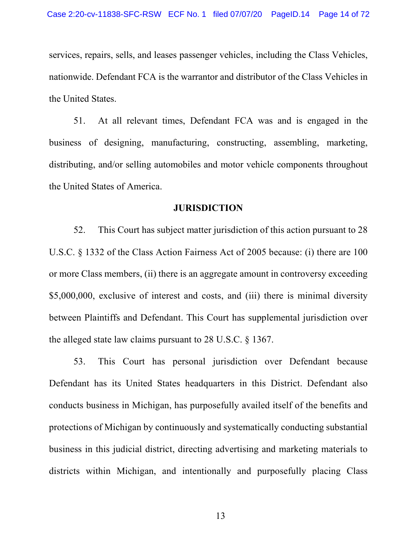services, repairs, sells, and leases passenger vehicles, including the Class Vehicles, nationwide. Defendant FCA is the warrantor and distributor of the Class Vehicles in the United States.

51. At all relevant times, Defendant FCA was and is engaged in the business of designing, manufacturing, constructing, assembling, marketing, distributing, and/or selling automobiles and motor vehicle components throughout the United States of America.

#### **JURISDICTION**

52. This Court has subject matter jurisdiction of this action pursuant to 28 U.S.C. § 1332 of the Class Action Fairness Act of 2005 because: (i) there are 100 or more Class members, (ii) there is an aggregate amount in controversy exceeding \$5,000,000, exclusive of interest and costs, and (iii) there is minimal diversity between Plaintiffs and Defendant. This Court has supplemental jurisdiction over the alleged state law claims pursuant to 28 U.S.C. § 1367.

53. This Court has personal jurisdiction over Defendant because Defendant has its United States headquarters in this District. Defendant also conducts business in Michigan, has purposefully availed itself of the benefits and protections of Michigan by continuously and systematically conducting substantial business in this judicial district, directing advertising and marketing materials to districts within Michigan, and intentionally and purposefully placing Class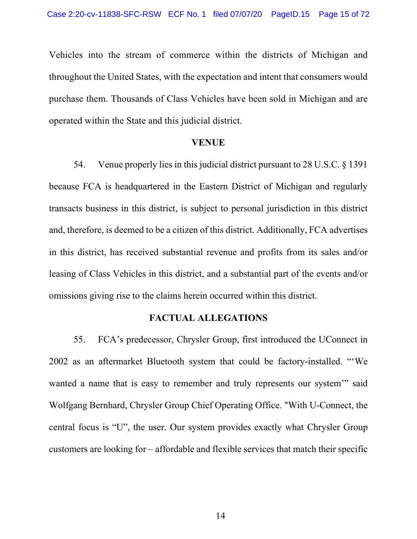Vehicles into the stream of commerce within the districts of Michigan and throughout the United States, with the expectation and intent that consumers would purchase them. Thousands of Class Vehicles have been sold in Michigan and are operated within the State and this judicial district.

#### **VENUE**

54. Venue properly lies in this judicial district pursuant to 28 U.S.C. § 1391 because FCA is headquartered in the Eastern District of Michigan and regularly transacts business in this district, is subject to personal jurisdiction in this district and, therefore, is deemed to be a citizen of this district. Additionally, FCA advertises in this district, has received substantial revenue and profits from its sales and/or leasing of Class Vehicles in this district, and a substantial part of the events and/or omissions giving rise to the claims herein occurred within this district.

# **FACTUAL ALLEGATIONS**

55. FCA's predecessor, Chrysler Group, first introduced the UConnect in 2002 as an aftermarket Bluetooth system that could be factory-installed. "'We wanted a name that is easy to remember and truly represents our system'" said Wolfgang Bernhard, Chrysler Group Chief Operating Office. "With U-Connect, the central focus is "U", the user. Our system provides exactly what Chrysler Group customers are looking for – affordable and flexible services that match their specific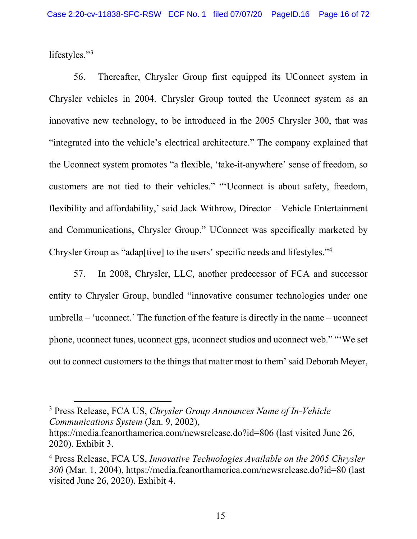lifestyles."<sup>3</sup>

56. Thereafter, Chrysler Group first equipped its UConnect system in Chrysler vehicles in 2004. Chrysler Group touted the Uconnect system as an innovative new technology, to be introduced in the 2005 Chrysler 300, that was "integrated into the vehicle's electrical architecture." The company explained that the Uconnect system promotes "a flexible, 'take-it-anywhere' sense of freedom, so customers are not tied to their vehicles." "'Uconnect is about safety, freedom, flexibility and affordability,' said Jack Withrow, Director – Vehicle Entertainment and Communications, Chrysler Group." UConnect was specifically marketed by Chrysler Group as "adap[tive] to the users' specific needs and lifestyles."4

57. In 2008, Chrysler, LLC, another predecessor of FCA and successor entity to Chrysler Group, bundled "innovative consumer technologies under one umbrella – 'uconnect.' The function of the feature is directly in the name – uconnect phone, uconnect tunes, uconnect gps, uconnect studios and uconnect web." "'We set out to connect customers to the things that matter most to them' said Deborah Meyer,

<sup>3</sup> Press Release, FCA US, *Chrysler Group Announces Name of In-Vehicle Communications System* (Jan. 9, 2002),

https://media.fcanorthamerica.com/newsrelease.do?id=806 (last visited June 26, 2020). Exhibit 3.

<sup>4</sup> Press Release, FCA US, *Innovative Technologies Available on the 2005 Chrysler 300* (Mar. 1, 2004), https://media.fcanorthamerica.com/newsrelease.do?id=80 (last visited June 26, 2020). Exhibit 4.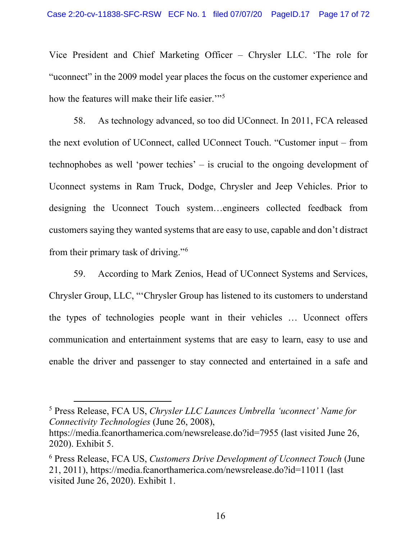Vice President and Chief Marketing Officer – Chrysler LLC. 'The role for "uconnect" in the 2009 model year places the focus on the customer experience and how the features will make their life easier."<sup>5</sup>

58. As technology advanced, so too did UConnect. In 2011, FCA released the next evolution of UConnect, called UConnect Touch. "Customer input – from technophobes as well 'power techies' – is crucial to the ongoing development of Uconnect systems in Ram Truck, Dodge, Chrysler and Jeep Vehicles. Prior to designing the Uconnect Touch system…engineers collected feedback from customers saying they wanted systems that are easy to use, capable and don't distract from their primary task of driving."6

59. According to Mark Zenios, Head of UConnect Systems and Services, Chrysler Group, LLC, "'Chrysler Group has listened to its customers to understand the types of technologies people want in their vehicles … Uconnect offers communication and entertainment systems that are easy to learn, easy to use and enable the driver and passenger to stay connected and entertained in a safe and

<sup>5</sup> Press Release, FCA US, *Chrysler LLC Launces Umbrella 'uconnect' Name for Connectivity Technologies* (June 26, 2008),

https://media.fcanorthamerica.com/newsrelease.do?id=7955 (last visited June 26, 2020). Exhibit 5.

<sup>6</sup> Press Release, FCA US, *Customers Drive Development of Uconnect Touch* (June 21, 2011), https://media.fcanorthamerica.com/newsrelease.do?id=11011 (last visited June 26, 2020). Exhibit 1.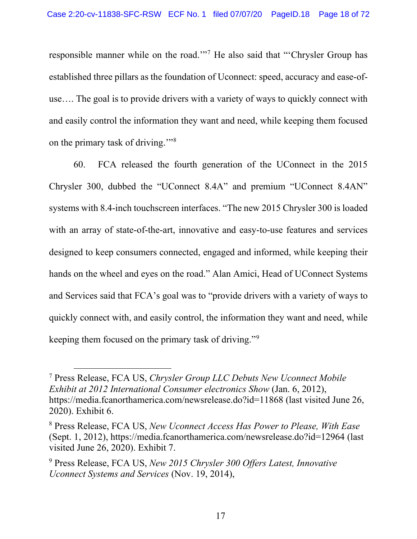responsible manner while on the road.'"7 He also said that "'Chrysler Group has established three pillars as the foundation of Uconnect: speed, accuracy and ease-ofuse…. The goal is to provide drivers with a variety of ways to quickly connect with and easily control the information they want and need, while keeping them focused on the primary task of driving.'"8

60. FCA released the fourth generation of the UConnect in the 2015 Chrysler 300, dubbed the "UConnect 8.4A" and premium "UConnect 8.4AN" systems with 8.4-inch touchscreen interfaces. "The new 2015 Chrysler 300 is loaded with an array of state-of-the-art, innovative and easy-to-use features and services designed to keep consumers connected, engaged and informed, while keeping their hands on the wheel and eyes on the road." Alan Amici, Head of UConnect Systems and Services said that FCA's goal was to "provide drivers with a variety of ways to quickly connect with, and easily control, the information they want and need, while keeping them focused on the primary task of driving."9

<sup>7</sup> Press Release, FCA US, *Chrysler Group LLC Debuts New Uconnect Mobile Exhibit at 2012 International Consumer electronics Show* (Jan. 6, 2012), https://media.fcanorthamerica.com/newsrelease.do?id=11868 (last visited June 26, 2020). Exhibit 6.

<sup>8</sup> Press Release, FCA US, *New Uconnect Access Has Power to Please, With Ease* (Sept. 1, 2012), https://media.fcanorthamerica.com/newsrelease.do?id=12964 (last visited June 26, 2020). Exhibit 7.

<sup>9</sup> Press Release, FCA US, *New 2015 Chrysler 300 Offers Latest, Innovative Uconnect Systems and Services* (Nov. 19, 2014),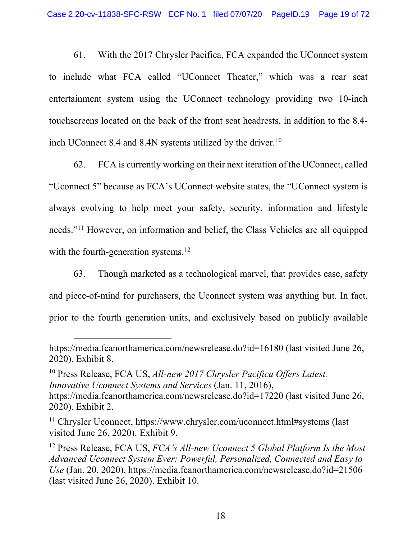61. With the 2017 Chrysler Pacifica, FCA expanded the UConnect system to include what FCA called "UConnect Theater," which was a rear seat entertainment system using the UConnect technology providing two 10-inch touchscreens located on the back of the front seat headrests, in addition to the 8.4 inch UConnect 8.4 and 8.4N systems utilized by the driver.<sup>10</sup>

62. FCA is currently working on their next iteration of the UConnect, called "Uconnect 5" because as FCA's UConnect website states, the "UConnect system is always evolving to help meet your safety, security, information and lifestyle needs."11 However, on information and belief, the Class Vehicles are all equipped with the fourth-generation systems.<sup>12</sup>

63. Though marketed as a technological marvel, that provides ease, safety and piece-of-mind for purchasers, the Uconnect system was anything but. In fact, prior to the fourth generation units, and exclusively based on publicly available

<sup>10</sup> Press Release, FCA US, *All-new 2017 Chrysler Pacifica Offers Latest, Innovative Uconnect Systems and Services* (Jan. 11, 2016), https://media.fcanorthamerica.com/newsrelease.do?id=17220 (last visited June 26, 2020). Exhibit 2.

https://media.fcanorthamerica.com/newsrelease.do?id=16180 (last visited June 26, 2020). Exhibit 8.

<sup>11</sup> Chrysler Uconnect, https://www.chrysler.com/uconnect.html#systems (last visited June 26, 2020). Exhibit 9.

<sup>12</sup> Press Release, FCA US, *FCA's All-new Uconnect 5 Global Platform Is the Most Advanced Uconnect System Ever: Powerful, Personalized, Connected and Easy to Use* (Jan. 20, 2020), https://media.fcanorthamerica.com/newsrelease.do?id=21506 (last visited June 26, 2020). Exhibit 10.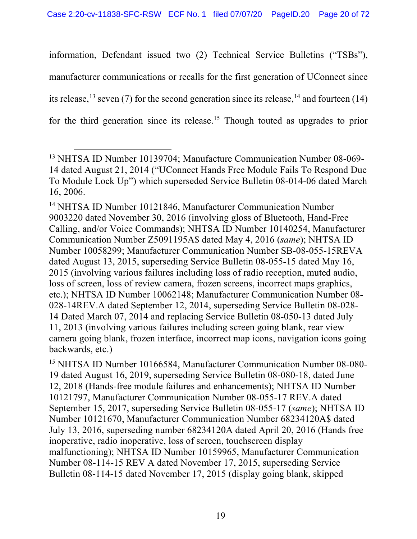information, Defendant issued two (2) Technical Service Bulletins ("TSBs"), manufacturer communications or recalls for the first generation of UConnect since its release,  $^{13}$  seven (7) for the second generation since its release,  $^{14}$  and fourteen (14) for the third generation since its release.<sup>15</sup> Though touted as upgrades to prior

<sup>&</sup>lt;sup>13</sup> NHTSA ID Number 10139704; Manufacture Communication Number 08-069-14 dated August 21, 2014 ("UConnect Hands Free Module Fails To Respond Due To Module Lock Up") which superseded Service Bulletin 08-014-06 dated March 16, 2006.

<sup>14</sup> NHTSA ID Number 10121846, Manufacturer Communication Number 9003220 dated November 30, 2016 (involving gloss of Bluetooth, Hand-Free Calling, and/or Voice Commands); NHTSA ID Number 10140254, Manufacturer Communication Number Z5091195A\$ dated May 4, 2016 (*same*); NHTSA ID Number 10058299; Manufacturer Communication Number SB-08-055-15REVA dated August 13, 2015, superseding Service Bulletin 08-055-15 dated May 16, 2015 (involving various failures including loss of radio reception, muted audio, loss of screen, loss of review camera, frozen screens, incorrect maps graphics, etc.); NHTSA ID Number 10062148; Manufacturer Communication Number 08- 028-14REV.A dated September 12, 2014, superseding Service Bulletin 08-028- 14 Dated March 07, 2014 and replacing Service Bulletin 08-050-13 dated July 11, 2013 (involving various failures including screen going blank, rear view camera going blank, frozen interface, incorrect map icons, navigation icons going backwards, etc.)

<sup>15</sup> NHTSA ID Number 10166584, Manufacturer Communication Number 08-080- 19 dated August 16, 2019, superseding Service Bulletin 08-080-18, dated June 12, 2018 (Hands-free module failures and enhancements); NHTSA ID Number 10121797, Manufacturer Communication Number 08-055-17 REV.A dated September 15, 2017, superseding Service Bulletin 08-055-17 (*same*); NHTSA ID Number 10121670, Manufacturer Communication Number 68234120A\$ dated July 13, 2016, superseding number 68234120A dated April 20, 2016 (Hands free inoperative, radio inoperative, loss of screen, touchscreen display malfunctioning); NHTSA ID Number 10159965, Manufacturer Communication Number 08-114-15 REV A dated November 17, 2015, superseding Service Bulletin 08-114-15 dated November 17, 2015 (display going blank, skipped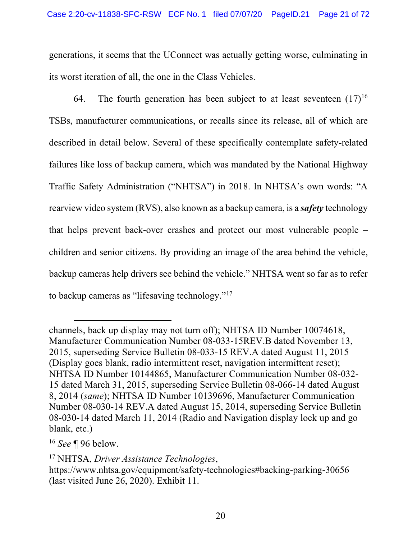generations, it seems that the UConnect was actually getting worse, culminating in its worst iteration of all, the one in the Class Vehicles.

64. The fourth generation has been subject to at least seventeen  $(17)^{16}$ TSBs, manufacturer communications, or recalls since its release, all of which are described in detail below. Several of these specifically contemplate safety-related failures like loss of backup camera, which was mandated by the National Highway Traffic Safety Administration ("NHTSA") in 2018. In NHTSA's own words: "A rearview video system (RVS), also known as a backup camera, is a *safety* technology that helps prevent back-over crashes and protect our most vulnerable people – children and senior citizens. By providing an image of the area behind the vehicle, backup cameras help drivers see behind the vehicle." NHTSA went so far as to refer to backup cameras as "lifesaving technology."17

channels, back up display may not turn off); NHTSA ID Number 10074618, Manufacturer Communication Number 08-033-15REV.B dated November 13, 2015, superseding Service Bulletin 08-033-15 REV.A dated August 11, 2015 (Display goes blank, radio intermittent reset, navigation intermittent reset); NHTSA ID Number 10144865, Manufacturer Communication Number 08-032- 15 dated March 31, 2015, superseding Service Bulletin 08-066-14 dated August 8, 2014 (*same*); NHTSA ID Number 10139696, Manufacturer Communication Number 08-030-14 REV.A dated August 15, 2014, superseding Service Bulletin 08-030-14 dated March 11, 2014 (Radio and Navigation display lock up and go blank, etc.)

<sup>16</sup> *See* ¶ 96 below.

<sup>17</sup> NHTSA, *Driver Assistance Technologies*,

https://www.nhtsa.gov/equipment/safety-technologies#backing-parking-30656 (last visited June 26, 2020). Exhibit 11.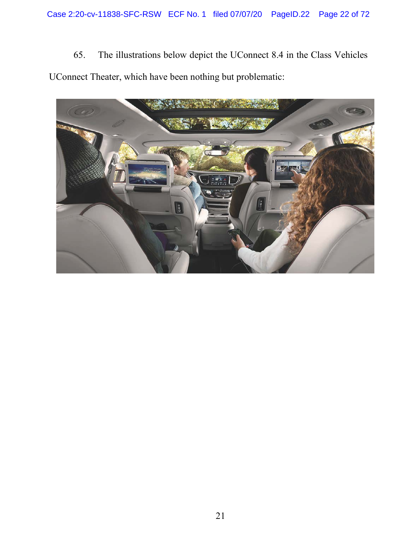65. The illustrations below depict the UConnect 8.4 in the Class Vehicles UConnect Theater, which have been nothing but problematic:

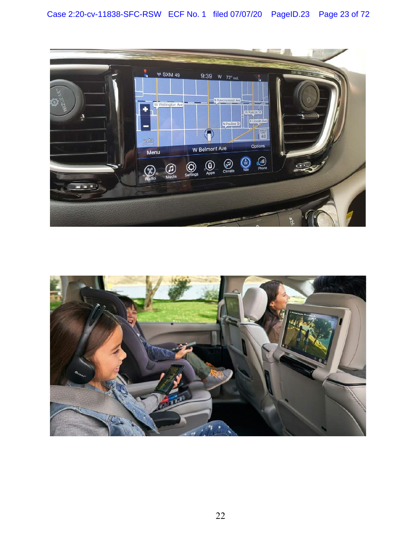

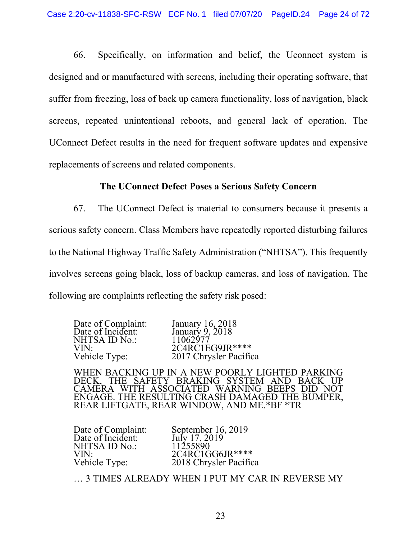66. Specifically, on information and belief, the Uconnect system is designed and or manufactured with screens, including their operating software, that suffer from freezing, loss of back up camera functionality, loss of navigation, black screens, repeated unintentional reboots, and general lack of operation. The UConnect Defect results in the need for frequent software updates and expensive replacements of screens and related components.

# **The UConnect Defect Poses a Serious Safety Concern**

67. The UConnect Defect is material to consumers because it presents a serious safety concern. Class Members have repeatedly reported disturbing failures to the National Highway Traffic Safety Administration ("NHTSA"). This frequently involves screens going black, loss of backup cameras, and loss of navigation. The following are complaints reflecting the safety risk posed:

| Date of Complaint:<br>Date of Incident: | January 16, 2018<br>January 9, 2018<br>11062977 |
|-----------------------------------------|-------------------------------------------------|
| NHTSA ID No.:                           |                                                 |
| VIN:                                    | 2C4RC1EG9JR****                                 |
| Vehicle Type:                           | 2017 Chrysler Pacifica                          |

WHEN BACKING UP IN A NEW POORLY LIGHTED PARKING DECK, THE SAFETY BRAKING SYSTEM AND BACK UP CAMERA WITH ASSOCIATED WARNING BEEPS DID NOT ENGAGE. THE RESULTING CRASH DAMAGED THE BUMPER, REAR LIFTGATE, REAR WINDOW, AND ME.\*BF \*TR

Date of Complaint: September 16, 2019<br>Date of Incident: July 17, 2019<br>NHTSA ID No.: 11255890<br>VIN: 2C4RC1GG6JR\*\*\* VIN: 2C4RC1GG6JR\*\*\*\*<br>Vehicle Type: 2018 Chrysler Pacific 2018 Chrysler Pacifica

… 3 TIMES ALREADY WHEN I PUT MY CAR IN REVERSE MY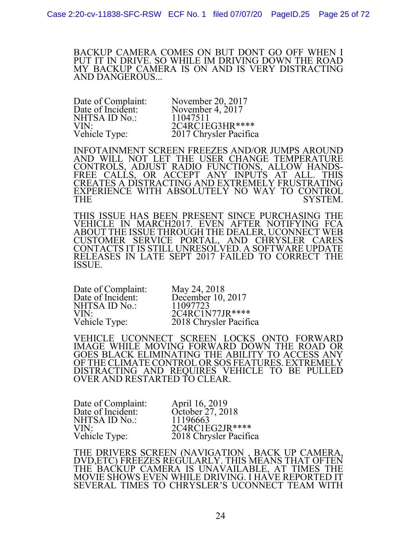BACKUP CAMERA COMES ON BUT DONT GO OFF WHEN I PUT IT IN DRIVE. SO WHILE IM DRIVING DOWN THE ROAD MY BACKUP CAMERA IS ON AND IS VERY DISTRACTING AND DANGEROUS...

NHTSA ID No.:<br>VIN:

Date of Complaint: November 20, 2017<br>Date of Incident: November 4, 2017<br>NHTSA ID No.: 11047511 VIN: 2C4RC1EG3HR\*\*\*\*<br>Vehicle Type: 2017 Chrysler Pacific 2017 Chrysler Pacifica

INFOTAINMENT SCREEN FREEZES AND/OR JUMPS AROUND AND WILL NOT LET THE USER CHANGE TEMPERATURE CONTROLS, ADJUST RADIO FUNCTIONS, ALLOW HANDS- FREE CALLS, OR ACCEPT ANY INPUTS AT ALL. THIS CREATES A DISTRACTING AND EXTREMELY FRUSTRATING EXPERIENCE WITH ABSOLUTELY NO WAY TO CONTROL<br>THE SYSTEM SYSTEM.

THIS ISSUE HAS BEEN PRESENT SINCE PURCHASING THE VEHICLE IN MARCH2017. EVEN AFTER NOTIFYING FCA ABOUT THE ISSUE THROUGH THE DEALER, UCONNECT WEB CUSTOMER SERVICE PORTAL, AND CHRYSLER CARES CONTACTS IT IS STILL UNRESOLVED. A SOFTWARE UPDATE RELEASES IN LATE SEPT 2017 FAILED TO CORRECT THE ISSUE.

NHTSA ID No.:<br>VIN:

Date of Complaint: May 24, 2018<br>Date of Incident: December 10, 2017<br>NHTSA ID No.: 11097723 VIN:<br>Vehicle Type: 2018 Chrysler Pacifi 2018 Chrysler Pacifica

VEHICLE UCONNECT SCREEN LOCKS ONTO FORWARD IMAGE WHILE MOVING FORWARD DOWN THE ROAD OR GOES BLACK ELIMINATING THE ABILITY TO ACCESS ANY OF THE CLIMATE CONTROL OR SOS FEATURES. EXTREMELY DISTRACTING AND REQUIRES VEHICLE TO BE PULLED OVER AND RESTARTED TO CLEAR.

| Date of Complaint: |
|--------------------|
| Date of Incident:  |
| NHTSA ID No.:      |
| VIN:               |
| Vehicle Type:      |

April 16, 2019<br>October 27, 2018 11196663 2C4RC1EG2JR\*\*\*\* 2018 Chrysler Pacifica

THE DRIVERS SCREEN (NAVIGATION , BACK UP CAMERA, DVD,ETC) FREEZES REGULARLY. THIS MEANS THAT OFTEN THE BACKUP CAMERA IS UNAVAILABLE, AT TIMES THE MOVIE SHOWS EVEN WHILE DRIVING. I HAVE REPORTED IT SEVERAL TIMES TO CHRYSLER'S UCONNECT TEAM WITH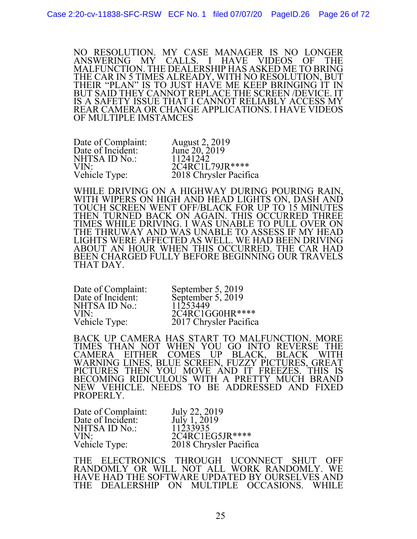NO RESOLUTION. MY CASE MANAGER IS NO LONGER<br>ANSWERING MY CALLS. I HAVE VIDEOS OF THE ANSWERING MY CALLS. I HAVE VIDEOS OF MALFUNCTION. THE DEALERSHIP HAS ASKED ME TO BRING THE CAR IN 5 TIMES ALREADY, WITH NO RESOLUTION, BUT THEIR "PLAN" IS TO JUST HAVE ME KEEP BRINGING IT IN BUT SAID THEY CANNOT REPLACE THE SCREEN /DEVICE. IT IS A SAFETY ISSUE THAT I CANNOT RELIABLY ACCESS MY REAR CAMERA OR CHANGE APPLICATIONS. I HAVE VIDEOS OF MULTIPLE IMSTAMCES

| Date of Complaint:<br>Date of Incident: | August 2, 2019<br>June 20, 2019 |
|-----------------------------------------|---------------------------------|
| NHTSA ID No.:                           | 11241242<br>2C4RC1L79JR****     |
| VIN:<br>Vehicle Type:                   | 2018 Chrysler Pacifica          |

WHILE DRIVING ON A HIGHWAY DURING POURING RAIN, WITH WIPERS ON HIGH AND HEAD LIGHTS ON, DASH AND TOUCH SCREEN WENT OFF/BLACK FOR UP TO 15 MINUTES THEN TURNED BACK ON AGAIN. THIS OCCURRED THREE TIMES WHILE DRIVING. I WAS UNABLE TO PULL OVER ON THE THRUWAY AND WAS UNABLE TO ASSESS IF MY HEAD LIGHTS WERE AFFECTED AS WELL. WE HAD BEEN DRIVING ABOUT AN HOUR WHEN THIS OCCURRED. THE CAR HAD BEEN CHARGED FULLY BEFORE BEGINNING OUR TRAVELS THAT DAY.

| Date of Complaint: |  |
|--------------------|--|
| Date of Incident:  |  |
| NHTSA ID No.:      |  |
| VIN:               |  |
| Vehicle Type:      |  |

September 5, 2019<br>September 5, 2019 11253449 2C4RC1GG0HR\*\*\*\* 2017 Chrysler Pacifica

BACK UP CAMERA HAS START TO MALFUNCTION. MORE TIMES THAN NOT WHEN YOU GO INTO REVERSE THE CAMERA EITHER COMES UP BLACK, BLACK WITH WARNING LINES, BLUE SCREEN, FUZZY PICTURES, GREAT PICTURES THEN YOU MOVE AND IT FREEZES. THIS IS BECOMING RIDICULOUS WITH A PRETTY MUCH BRAND NEW VEHICLE. NEEDS TO BE ADDRESSED AND FIXED PROPERLY.

| Date of Complaint: | July 22, 2019          |
|--------------------|------------------------|
| Date of Incident:  | July 1, 2019           |
| NHTSA ID No.:      |                        |
| VIN:               | 2C4RC1EG5JR****        |
| Vehicle Type:      | 2018 Chrysler Pacifica |

THE ELECTRONICS THROUGH UCONNECT SHUT OFF RANDOMLY OR WILL NOT ALL WORK RANDOMLY. WE HAVE HAD THE SOFTWARE UPDATED BY OURSELVES AND THE DEALERSHIP ON MULTIPLE OCCASIONS. WHILE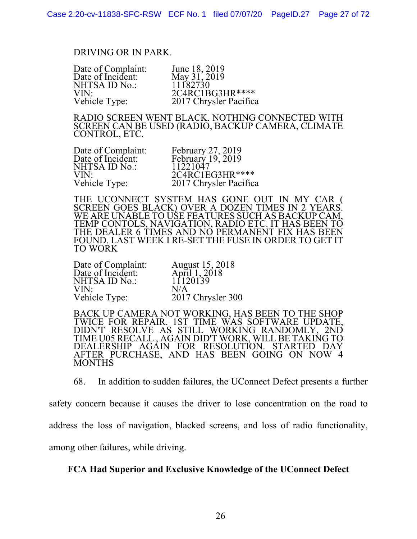## DRIVING OR IN PARK.

| Date of Complaint: | June 18, 2019            |
|--------------------|--------------------------|
| Date of Incident:  | May 31, 2019<br>11182730 |
| NHTSA ID No.:      |                          |
| VIN:               | 2C4RC1BG3HR****          |
| Vehicle Type:      | 2017 Chrysler Pacifica   |

RADIO SCREEN WENT BLACK. NOTHING CONNECTED WITH SCREEN CAN BE USED (RADIO, BACKUP CAMERA, CLIMATE CONTROL, ETC.

Date of Complaint: February 27, 2019<br>
Date of Incident: February 19, 2019<br>
NHTSA ID No.: 11221047<br>
VIN: 2C4RC1EG3HR\*\* VIN:<br>Vehicle Type: 2017 Chrysler Pacific 2017 Chrysler Pacifica

THE UCONNECT SYSTEM HAS GONE OUT IN MY CAR ( SCREEN GOES BLACK) OVER A DOZEN TIMES IN 2 YEARS. WE ARE UNABLE TO USE FEATURES SUCH AS BACKUP CAM, TEMP CONTOLS, NAVIGATION, RADIO ETC. IT HAS BEEN TO THE DEALER 6 TIMES AND NO PERMANENT FIX HAS BEEN FOUND. LAST WEEK I RE-SET THE FUSE IN ORDER TO GET IT TO WORK

| August 15, 2018<br>April 1, 2018<br>11120139 |
|----------------------------------------------|
|                                              |
|                                              |
| N/A                                          |
| 2017 Chrysler 300                            |
|                                              |

BACK UP CAMERA NOT WORKING, HAS BEEN TO THE SHOP TWICE FOR REPAIR. 1ST TIME WAS SOFTWARE UPDATE, DIDN'T RESOLVE AS STILL WORKING RANDOMLY, 2ND TIME U05 RECALL , AGAIN DID'T WORK, WILL BE TAKING TO DEALERSHIP AGAIN FOR RESOLUTION. STARTED DAY AFTER PURCHASE, AND HAS BEEN GOING ON NOW 4 MONTHS

68. In addition to sudden failures, the UConnect Defect presents a further safety concern because it causes the driver to lose concentration on the road to address the loss of navigation, blacked screens, and loss of radio functionality, among other failures, while driving.

# **FCA Had Superior and Exclusive Knowledge of the UConnect Defect**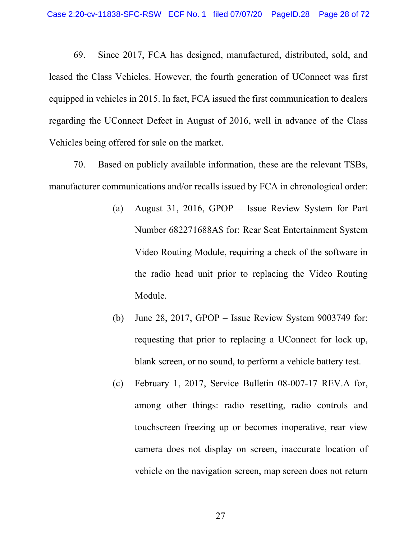69. Since 2017, FCA has designed, manufactured, distributed, sold, and leased the Class Vehicles. However, the fourth generation of UConnect was first equipped in vehicles in 2015. In fact, FCA issued the first communication to dealers regarding the UConnect Defect in August of 2016, well in advance of the Class Vehicles being offered for sale on the market.

70. Based on publicly available information, these are the relevant TSBs, manufacturer communications and/or recalls issued by FCA in chronological order:

- (a) August 31, 2016, GPOP Issue Review System for Part Number 682271688A\$ for: Rear Seat Entertainment System Video Routing Module, requiring a check of the software in the radio head unit prior to replacing the Video Routing Module.
- (b) June 28, 2017, GPOP Issue Review System 9003749 for: requesting that prior to replacing a UConnect for lock up, blank screen, or no sound, to perform a vehicle battery test.
- (c) February 1, 2017, Service Bulletin 08-007-17 REV.A for, among other things: radio resetting, radio controls and touchscreen freezing up or becomes inoperative, rear view camera does not display on screen, inaccurate location of vehicle on the navigation screen, map screen does not return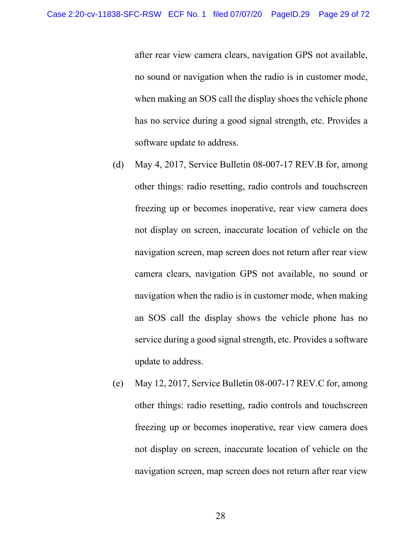after rear view camera clears, navigation GPS not available, no sound or navigation when the radio is in customer mode, when making an SOS call the display shoes the vehicle phone has no service during a good signal strength, etc. Provides a software update to address.

- (d) May 4, 2017, Service Bulletin 08-007-17 REV.B for, among other things: radio resetting, radio controls and touchscreen freezing up or becomes inoperative, rear view camera does not display on screen, inaccurate location of vehicle on the navigation screen, map screen does not return after rear view camera clears, navigation GPS not available, no sound or navigation when the radio is in customer mode, when making an SOS call the display shows the vehicle phone has no service during a good signal strength, etc. Provides a software update to address.
- (e) May 12, 2017, Service Bulletin 08-007-17 REV.C for, among other things: radio resetting, radio controls and touchscreen freezing up or becomes inoperative, rear view camera does not display on screen, inaccurate location of vehicle on the navigation screen, map screen does not return after rear view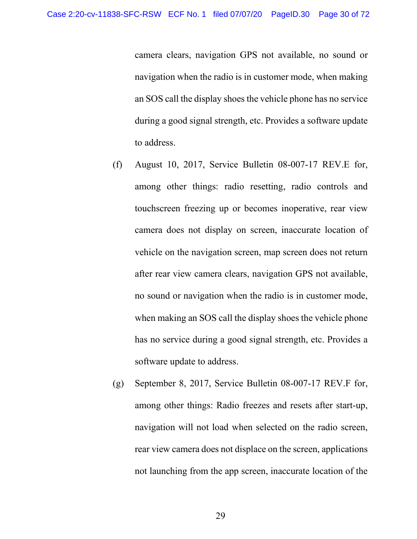camera clears, navigation GPS not available, no sound or navigation when the radio is in customer mode, when making an SOS call the display shoes the vehicle phone has no service during a good signal strength, etc. Provides a software update to address.

- (f) August 10, 2017, Service Bulletin 08-007-17 REV.E for, among other things: radio resetting, radio controls and touchscreen freezing up or becomes inoperative, rear view camera does not display on screen, inaccurate location of vehicle on the navigation screen, map screen does not return after rear view camera clears, navigation GPS not available, no sound or navigation when the radio is in customer mode, when making an SOS call the display shoes the vehicle phone has no service during a good signal strength, etc. Provides a software update to address.
- (g) September 8, 2017, Service Bulletin 08-007-17 REV.F for, among other things: Radio freezes and resets after start-up, navigation will not load when selected on the radio screen, rear view camera does not displace on the screen, applications not launching from the app screen, inaccurate location of the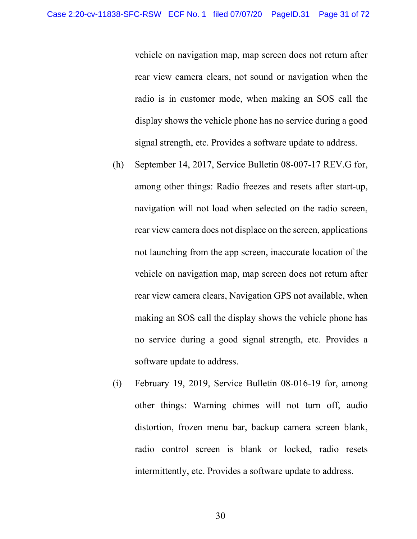vehicle on navigation map, map screen does not return after rear view camera clears, not sound or navigation when the radio is in customer mode, when making an SOS call the display shows the vehicle phone has no service during a good signal strength, etc. Provides a software update to address.

- (h) September 14, 2017, Service Bulletin 08-007-17 REV.G for, among other things: Radio freezes and resets after start-up, navigation will not load when selected on the radio screen, rear view camera does not displace on the screen, applications not launching from the app screen, inaccurate location of the vehicle on navigation map, map screen does not return after rear view camera clears, Navigation GPS not available, when making an SOS call the display shows the vehicle phone has no service during a good signal strength, etc. Provides a software update to address.
- (i) February 19, 2019, Service Bulletin 08-016-19 for, among other things: Warning chimes will not turn off, audio distortion, frozen menu bar, backup camera screen blank, radio control screen is blank or locked, radio resets intermittently, etc. Provides a software update to address.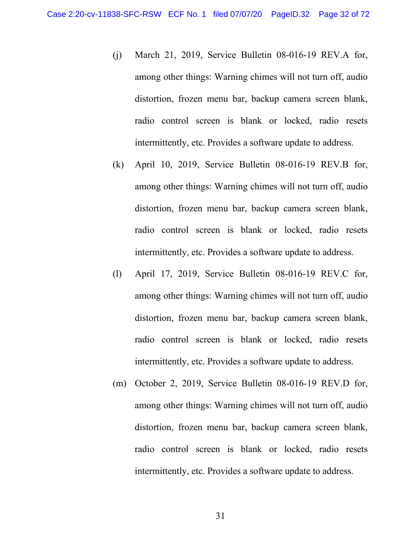- (j) March 21, 2019, Service Bulletin 08-016-19 REV.A for, among other things: Warning chimes will not turn off, audio distortion, frozen menu bar, backup camera screen blank, radio control screen is blank or locked, radio resets intermittently, etc. Provides a software update to address.
- (k) April 10, 2019, Service Bulletin 08-016-19 REV.B for, among other things: Warning chimes will not turn off, audio distortion, frozen menu bar, backup camera screen blank, radio control screen is blank or locked, radio resets intermittently, etc. Provides a software update to address.
- (l) April 17, 2019, Service Bulletin 08-016-19 REV.C for, among other things: Warning chimes will not turn off, audio distortion, frozen menu bar, backup camera screen blank, radio control screen is blank or locked, radio resets intermittently, etc. Provides a software update to address.
- (m) October 2, 2019, Service Bulletin 08-016-19 REV.D for, among other things: Warning chimes will not turn off, audio distortion, frozen menu bar, backup camera screen blank, radio control screen is blank or locked, radio resets intermittently, etc. Provides a software update to address.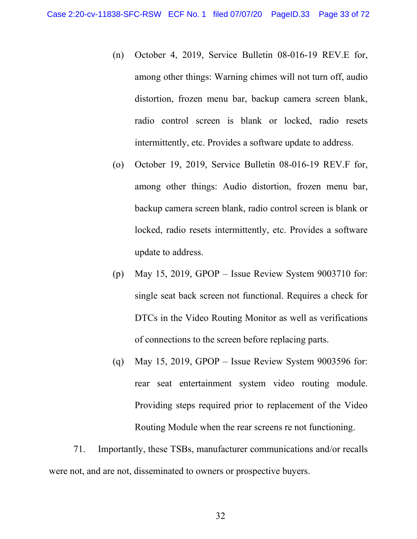- (n) October 4, 2019, Service Bulletin 08-016-19 REV.E for, among other things: Warning chimes will not turn off, audio distortion, frozen menu bar, backup camera screen blank, radio control screen is blank or locked, radio resets intermittently, etc. Provides a software update to address.
- (o) October 19, 2019, Service Bulletin 08-016-19 REV.F for, among other things: Audio distortion, frozen menu bar, backup camera screen blank, radio control screen is blank or locked, radio resets intermittently, etc. Provides a software update to address.
- (p) May 15, 2019, GPOP Issue Review System 9003710 for: single seat back screen not functional. Requires a check for DTCs in the Video Routing Monitor as well as verifications of connections to the screen before replacing parts.
- (q) May 15, 2019, GPOP Issue Review System 9003596 for: rear seat entertainment system video routing module. Providing steps required prior to replacement of the Video Routing Module when the rear screens re not functioning.

71. Importantly, these TSBs, manufacturer communications and/or recalls were not, and are not, disseminated to owners or prospective buyers.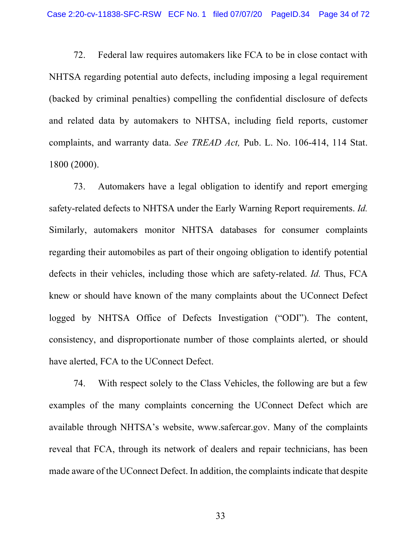72. Federal law requires automakers like FCA to be in close contact with NHTSA regarding potential auto defects, including imposing a legal requirement (backed by criminal penalties) compelling the confidential disclosure of defects and related data by automakers to NHTSA, including field reports, customer complaints, and warranty data. *See TREAD Act,* Pub. L. No. 106-414, 114 Stat. 1800 (2000).

73. Automakers have a legal obligation to identify and report emerging safety-related defects to NHTSA under the Early Warning Report requirements. *Id.*  Similarly, automakers monitor NHTSA databases for consumer complaints regarding their automobiles as part of their ongoing obligation to identify potential defects in their vehicles, including those which are safety-related. *Id.* Thus, FCA knew or should have known of the many complaints about the UConnect Defect logged by NHTSA Office of Defects Investigation ("ODI"). The content, consistency, and disproportionate number of those complaints alerted, or should have alerted, FCA to the UConnect Defect.

74. With respect solely to the Class Vehicles, the following are but a few examples of the many complaints concerning the UConnect Defect which are available through NHTSA's website, www.safercar.gov. Many of the complaints reveal that FCA, through its network of dealers and repair technicians, has been made aware of the UConnect Defect. In addition, the complaints indicate that despite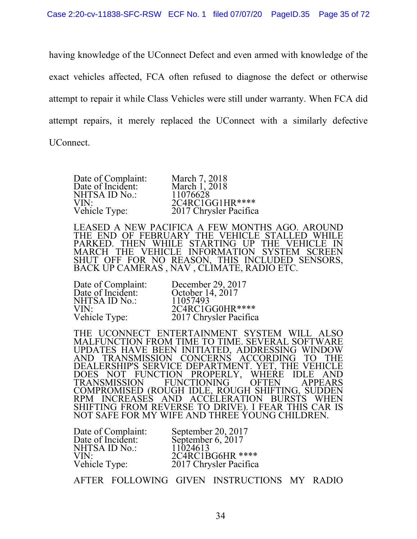having knowledge of the UConnect Defect and even armed with knowledge of the exact vehicles affected, FCA often refused to diagnose the defect or otherwise attempt to repair it while Class Vehicles were still under warranty. When FCA did attempt repairs, it merely replaced the UConnect with a similarly defective UConnect.

Date of Complaint: March 7, 2018<br>
Date of Incident: March 1, 2018<br>
NHTSA ID No.: 11076628 NHTSA ID No.:<br>VIN:

VIN:<br>Vehicle Type: 2017 Chrysler Pacifica 2017 Chrysler Pacifica

LEASED A NEW PACIFICA A FEW MONTHS AGO. AROUND THE END OF FEBRUARY THE VEHICLE STALLED WHILE PARKED. THEN WHILE STARTING UP THE VEHICLE IN MARCH THE VEHICLE INFORMATION SYSTEM SCREEN SHUT OFF FOR NO REASON, THIS INCLUDED SENSORS, BACK UP CAMERAS , NAV , CLIMATE, RADIO ETC.

NHTSA ID No.:<br>VIN:

Date of Complaint: December 29, 2017<br>Date of Incident: October 14, 2017<br>NHTSA ID No.: 11057493 VIN:<br>Vehicle Type: 2017 Chrysler Pacifica 2017 Chrysler Pacifica

THE UCONNECT ENTERTAINMENT SYSTEM WILL ALSO MALFUNCTION FROM TIME TO TIME. SEVERAL SOFTWARE UPDATES HAVE BEEN INITIATED, ADDRESSING WINDOW AND TRANSMISSION CONCERNS ACCORDING TO THE DEALERSHIP'S SERVICE DEPARTMENT. YET, THE VEHICLE DOES NOT FUNCTION PROPERLY, WHERE IDLE AND TRANSMISSION FUNCTIONING OFTEN APPEARS TRANSMISSION FUNCTIONING OFTEN APPEARS<br>COMPROMISED(ROUGH IDLE, ROUGH SHIFTING, SUDDEN<br>RPM INCREASES AND ACCELERATION BURSTS WHEN SHIFTING FROM REVERSE TO DRIVE). I FEAR THIS CAR IS NOT SAFE FOR MY WIFE AND THREE YOUNG CHILDREN.

| September 20, 2017     |
|------------------------|
| September 6, 2017      |
| 11024613               |
| 2C4RC1BG6HR ****       |
| 2017 Chrysler Pacifica |
|                        |

AFTER FOLLOWING GIVEN INSTRUCTIONS MY RADIO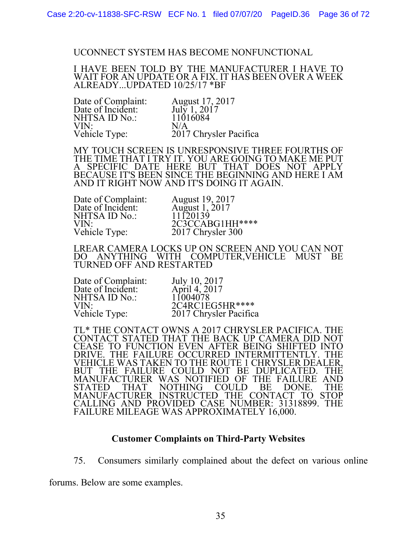### UCONNECT SYSTEM HAS BECOME NONFUNCTIONAL

I HAVE BEEN TOLD BY THE MANUFACTURER I HAVE TO WAIT FOR AN UPDATE OR A FIX. IT HAS BEEN OVER A WEEK ALREADY...UPDATED 10/25/17 \*BF

| August 17, 2017<br>July 1, 2017<br>11016084 |
|---------------------------------------------|
|                                             |
|                                             |
| N/A                                         |
| 2017 Chrysler Pacifica                      |
|                                             |

MY TOUCH SCREEN IS UNRESPONSIVE THREE FOURTHS OF THE TIME THAT I TRY IT. YOU ARE GOING TO MAKE ME PUT A SPECIFIC DATE HERE BUT THAT DOES NOT APPLY BECAUSE IT'S BEEN SINCE THE BEGINNING AND HERE I AM AND IT RIGHT NOW AND IT'S DOING IT AGAIN.

| Date of Complaint: |
|--------------------|
| Date of Incident:  |
| NHTSA ID No.:      |
| VIN:               |
| Vehicle Type:      |

August 19, 2017<br>August 1, 2017<br>11120139 2C3CCABG1HH\*\*\*\* 2017 Chrysler 300

LREAR CAMERA LOCKS UP ON SCREEN AND YOU CAN NOT DO ANYTHING WITH COMPUTER,VEHICLE MUST BE TURNED OFF AND RESTARTED

| Date of Complaint: |
|--------------------|
| Date of Incident:  |
| NHTSA ID No.:      |
| VIN:               |
| Vehicle Type:      |

July 10, 2017<br>April 4, 2017<br>11004078 2C4RC1EG5HR\*\*\*\* Vehicle Type: 2017 Chrysler Pacifica

TL\* THE CONTACT OWNS A 2017 CHRYSLER PACIFICA. THE CONTACT STATED THAT THE BACK UP CAMERA DID NOT CEASE TO FUNCTION EVEN AFTER BEING SHIFTED INTO DRIVE. THE FAILURE OCCURRED INTERMITTENTLY. THE VEHICLE WAS TAKEN TO THE ROUTE 1 CHRYSLER DEALER, BUT THE FAILURE COULD NOT BE DUPLICATED. THE MANUFACTURER WAS NOTIFIED OF THE FAILURE AND STATED THAT NOTHING COULD BE DONE. THE MANUFACTURER INSTRUCTED THE CONTACT TO STOP MANUFACTURER INSTRUCTED THE CONTACT TO STOP<br>CALLING AND PROVIDED CASE NUMBER: 31318899. THE FAILURE MILEAGE WAS APPROXIMATELY 16,000.

### **Customer Complaints on Third-Party Websites**

75. Consumers similarly complained about the defect on various online

forums. Below are some examples.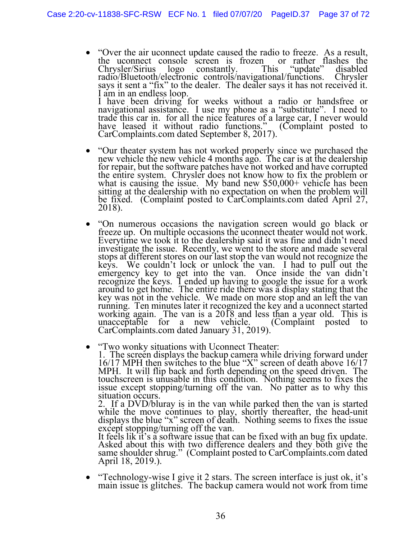CarComplaints.com dated September 8, 2017).

- "Over the air uconnect update caused the radio to freeze. As a result, the uconnect console screen is frozen or rather flashes the Chrysler/Sirius logo constantly. This "update" disabled radio/Bluetooth/electronic controls/navigational/functions. Chrysler says it sent a "fix" to the dealer. The dealer says it has not received it. I am in an endless loop. I have been driving for weeks without a radio or handsfree or navigational assistance. I use my phone as a "substitute". I need to trade this car in. for all the nice features of a large car, I never would have leased it without radio functions." (Complaint posted to
- "Our theater system has not worked properly since we purchased the for repair, but the software patches have not worked and have corrupted the entire system. Chrysler does not know how to fix the problem or what is causing the issue. My band new \$50,000+ vehicle has been sitting at the dealership with no expectation on when the problem will be fixed. (Complaint posted to CarComplaints.com dated April 27, 2018).
- "On numerous occasions the navigation screen would go black or freeze up. On multiple occasions the uconnect theater would not work. Everytime we took it to the dealership said it was fine and didn't need investigate the issue. Recently, we went to the store and made several stops at different stores on our last stop the van would not recognize the keys. We couldn't lock or unlock the van. I had to pull out the emergency key to get into the van. Once inside the van didn't recognize the keys. I ended up having to google the issue for a work around to get home. The entire ride there was a display stating that the key was not in the vehicle. We made on more stop and an left the van running. Ten minutes later it recognized the key and a uconnect started working again. The van is a 2018 and less than a year old. This is unacceptable for a new vehicle. (Complaint posted to unacceptable for a new vehicle. (Complaint posted to CarComplaints.com dated January 31, 2019).
- "Two wonky situations with Uconnect Theater:

1. The screen displays the backup camera while driving forward under 16/17 MPH then switches to the blue "X" screen of death above 16/17 MPH. It will flip back and forth depending on the speed driven. The touchscreen is unusable in this condition. Nothing seems to fixes the issue except stopping/turning off the van. No patter as to why this

situation occurs.<br>2. If a DVD/bluray is in the van while parked then the van is started 2. If a DVD/bluray is in the van while parked then the van is started while the move continues to play, shortly thereafter, the head-unit displays the blue "x" screen of death. Nothing seems to fixes the issue

except stopping/turning off the van.<br>It feels lik it's a software issue that can be fixed with an bug fix update. It feels lik it's a software issue that can be fixed with an bug fix update. Asked about this with two difference dealers and they both give the same shoulder shrug." (Complaint posted to CarComplaints.com dated April 18, 2019.).

• "Technology-wise I give it 2 stars. The screen interface is just ok, it's main issue is glitches. The backup camera would not work from time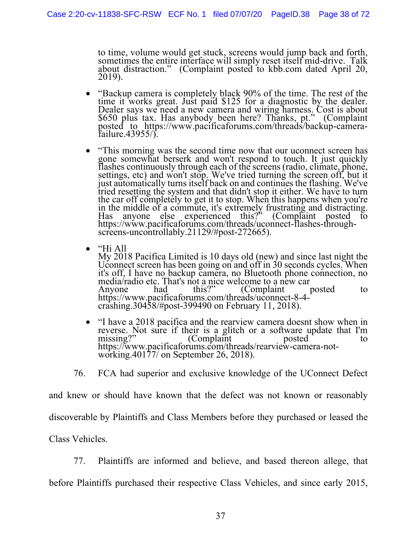to time, volume would get stuck, screens would jump back and forth, sometimes the entire interface will simply reset itself mid-drive. Talk about distraction." (Complaint posted to kbb.com dated April 20, 2019).

- "Backup camera is completely black 90% of the time. The rest of the time it works great. Just paid \$125 for a diagnostic by the dealer. Dealer says we need a new camera and wiring harness. Cost is about \$650 plus tax. Has anybody been here? Thanks, pt." (Complaint posted to https://www.pacificaforums.com/threads/backup-camera- failure.43955/).
- "This morning was the second time now that our uconnect screen has gone somewhat berserk and won't respond to touch. It just quickly gone somewhat berserk and won't respond to touch. It just quickly flashes continuously through each of the screens (radio, climate, phone, settings, etc) and won't stop. We've tried turning the screen off, but it just automatically turns itself back on and continues the flashing. We've tried resetting the system and that didn't stop it either. We have to turn the car off completely to get it to stop. When this happens when you're in the middle of a commute, it's extremely frustrating and distracting. Has anyone else experienced this?" (Complaint posted to https://www.pacificaforums.com/threads/uconnect-flashes-through- screens-uncontrollably.21129/#post-272665).
- "Hi All

My 2018 Pacifica Limited is 10 days old (new) and since last night the Uconnect screen has been going on and off in 30 seconds cycles. When it's off, I have no backup camera, no Bluetooth phone connection, no media/radio etc. That's not a nice welcome to a new car<br>Anyone had this?" (Complaint Anyone had this?" (Complaint posted to https://www.pacificaforums.com/threads/uconnect-8-4- crashing.30458/#post-399490 on February 11, 2018).

- "I have a 2018 pacifica and the rearview camera doesnt show when in reverse. Not sure if their is a glitch or a software update that I'm<br>missing?" (Complaint posted to https://www.pacificaforums.com/threads/rearview-camera-not- working.40177/ on September 26, 2018).
- 76. FCA had superior and exclusive knowledge of the UConnect Defect

and knew or should have known that the defect was not known or reasonably

discoverable by Plaintiffs and Class Members before they purchased or leased the

Class Vehicles.

77. Plaintiffs are informed and believe, and based thereon allege, that

before Plaintiffs purchased their respective Class Vehicles, and since early 2015,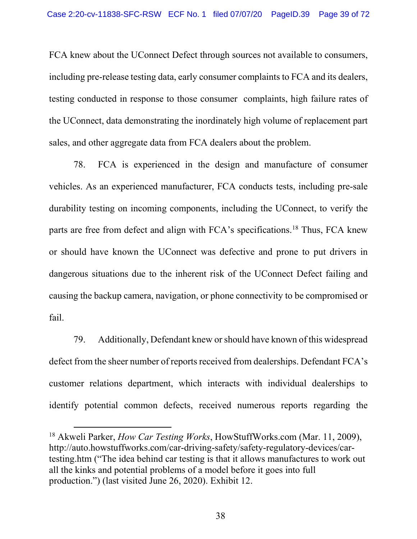FCA knew about the UConnect Defect through sources not available to consumers, including pre-release testing data, early consumer complaints to FCA and its dealers, testing conducted in response to those consumer complaints, high failure rates of the UConnect, data demonstrating the inordinately high volume of replacement part sales, and other aggregate data from FCA dealers about the problem.

78. FCA is experienced in the design and manufacture of consumer vehicles. As an experienced manufacturer, FCA conducts tests, including pre-sale durability testing on incoming components, including the UConnect, to verify the parts are free from defect and align with FCA's specifications.<sup>18</sup> Thus, FCA knew or should have known the UConnect was defective and prone to put drivers in dangerous situations due to the inherent risk of the UConnect Defect failing and causing the backup camera, navigation, or phone connectivity to be compromised or fail.

79. Additionally, Defendant knew or should have known of this widespread defect from the sheer number of reports received from dealerships. Defendant FCA's customer relations department, which interacts with individual dealerships to identify potential common defects, received numerous reports regarding the

<sup>18</sup> Akweli Parker, *How Car Testing Works*, HowStuffWorks.com (Mar. 11, 2009), http://auto.howstuffworks.com/car-driving-safety/safety-regulatory-devices/cartesting.htm ("The idea behind car testing is that it allows manufactures to work out all the kinks and potential problems of a model before it goes into full production.") (last visited June 26, 2020). Exhibit 12.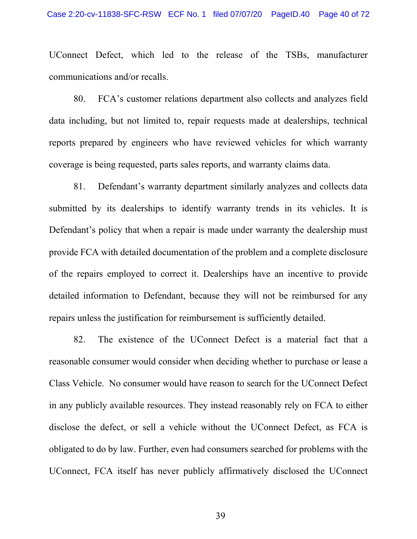UConnect Defect, which led to the release of the TSBs, manufacturer communications and/or recalls.

80. FCA's customer relations department also collects and analyzes field data including, but not limited to, repair requests made at dealerships, technical reports prepared by engineers who have reviewed vehicles for which warranty coverage is being requested, parts sales reports, and warranty claims data.

81. Defendant's warranty department similarly analyzes and collects data submitted by its dealerships to identify warranty trends in its vehicles. It is Defendant's policy that when a repair is made under warranty the dealership must provide FCA with detailed documentation of the problem and a complete disclosure of the repairs employed to correct it. Dealerships have an incentive to provide detailed information to Defendant, because they will not be reimbursed for any repairs unless the justification for reimbursement is sufficiently detailed.

82. The existence of the UConnect Defect is a material fact that a reasonable consumer would consider when deciding whether to purchase or lease a Class Vehicle. No consumer would have reason to search for the UConnect Defect in any publicly available resources. They instead reasonably rely on FCA to either disclose the defect, or sell a vehicle without the UConnect Defect, as FCA is obligated to do by law. Further, even had consumers searched for problems with the UConnect, FCA itself has never publicly affirmatively disclosed the UConnect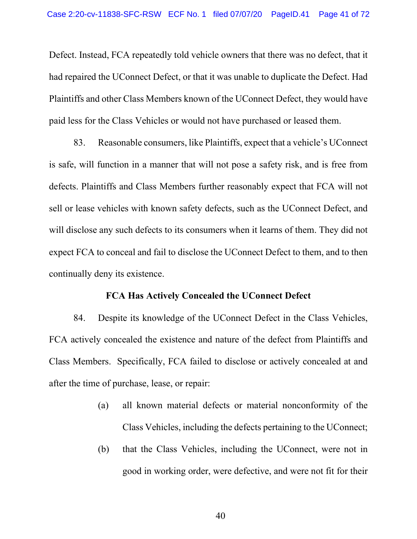Defect. Instead, FCA repeatedly told vehicle owners that there was no defect, that it had repaired the UConnect Defect, or that it was unable to duplicate the Defect. Had Plaintiffs and other Class Members known of the UConnect Defect, they would have paid less for the Class Vehicles or would not have purchased or leased them.

83. Reasonable consumers, like Plaintiffs, expect that a vehicle's UConnect is safe, will function in a manner that will not pose a safety risk, and is free from defects. Plaintiffs and Class Members further reasonably expect that FCA will not sell or lease vehicles with known safety defects, such as the UConnect Defect, and will disclose any such defects to its consumers when it learns of them. They did not expect FCA to conceal and fail to disclose the UConnect Defect to them, and to then continually deny its existence.

#### **FCA Has Actively Concealed the UConnect Defect**

84. Despite its knowledge of the UConnect Defect in the Class Vehicles, FCA actively concealed the existence and nature of the defect from Plaintiffs and Class Members. Specifically, FCA failed to disclose or actively concealed at and after the time of purchase, lease, or repair:

- (a) all known material defects or material nonconformity of the Class Vehicles, including the defects pertaining to the UConnect;
- (b) that the Class Vehicles, including the UConnect, were not in good in working order, were defective, and were not fit for their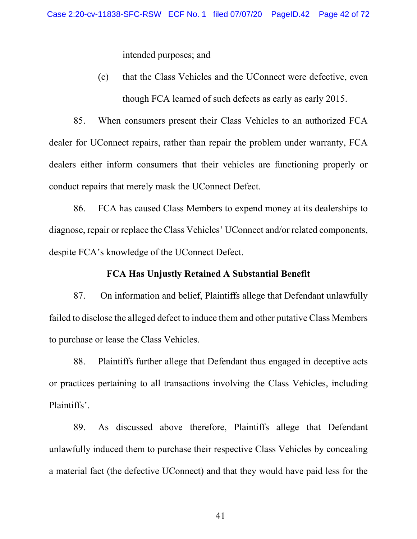intended purposes; and

(c) that the Class Vehicles and the UConnect were defective, even though FCA learned of such defects as early as early 2015.

85. When consumers present their Class Vehicles to an authorized FCA dealer for UConnect repairs, rather than repair the problem under warranty, FCA dealers either inform consumers that their vehicles are functioning properly or conduct repairs that merely mask the UConnect Defect.

86. FCA has caused Class Members to expend money at its dealerships to diagnose, repair or replace the Class Vehicles' UConnect and/or related components, despite FCA's knowledge of the UConnect Defect.

### **FCA Has Unjustly Retained A Substantial Benefit**

87. On information and belief, Plaintiffs allege that Defendant unlawfully failed to disclose the alleged defect to induce them and other putative Class Members to purchase or lease the Class Vehicles.

88. Plaintiffs further allege that Defendant thus engaged in deceptive acts or practices pertaining to all transactions involving the Class Vehicles, including Plaintiffs'.

89. As discussed above therefore, Plaintiffs allege that Defendant unlawfully induced them to purchase their respective Class Vehicles by concealing a material fact (the defective UConnect) and that they would have paid less for the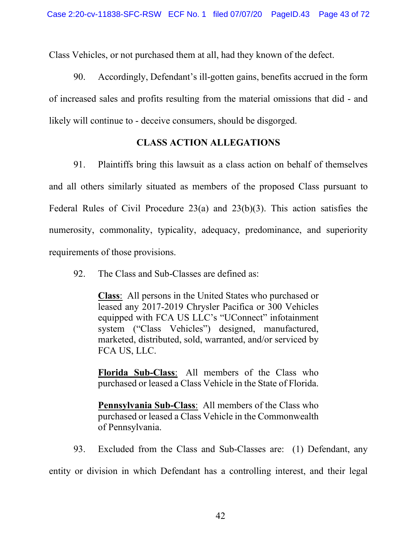Class Vehicles, or not purchased them at all, had they known of the defect.

90. Accordingly, Defendant's ill-gotten gains, benefits accrued in the form of increased sales and profits resulting from the material omissions that did - and likely will continue to - deceive consumers, should be disgorged.

## **CLASS ACTION ALLEGATIONS**

91. Plaintiffs bring this lawsuit as a class action on behalf of themselves and all others similarly situated as members of the proposed Class pursuant to Federal Rules of Civil Procedure 23(a) and 23(b)(3). This action satisfies the numerosity, commonality, typicality, adequacy, predominance, and superiority requirements of those provisions.

92. The Class and Sub-Classes are defined as:

**Class**: All persons in the United States who purchased or leased any 2017-2019 Chrysler Pacifica or 300 Vehicles equipped with FCA US LLC's "UConnect" infotainment system ("Class Vehicles") designed, manufactured, marketed, distributed, sold, warranted, and/or serviced by FCA US, LLC.

**Florida Sub-Class**: All members of the Class who purchased or leased a Class Vehicle in the State of Florida.

**Pennsylvania Sub-Class**: All members of the Class who purchased or leased a Class Vehicle in the Commonwealth of Pennsylvania.

93. Excluded from the Class and Sub-Classes are: (1) Defendant, any entity or division in which Defendant has a controlling interest, and their legal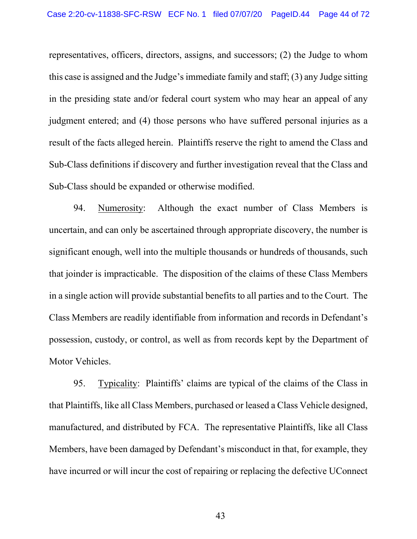representatives, officers, directors, assigns, and successors; (2) the Judge to whom this case is assigned and the Judge's immediate family and staff; (3) any Judge sitting in the presiding state and/or federal court system who may hear an appeal of any judgment entered; and (4) those persons who have suffered personal injuries as a result of the facts alleged herein. Plaintiffs reserve the right to amend the Class and Sub-Class definitions if discovery and further investigation reveal that the Class and Sub-Class should be expanded or otherwise modified.

94. Numerosity: Although the exact number of Class Members is uncertain, and can only be ascertained through appropriate discovery, the number is significant enough, well into the multiple thousands or hundreds of thousands, such that joinder is impracticable. The disposition of the claims of these Class Members in a single action will provide substantial benefits to all parties and to the Court. The Class Members are readily identifiable from information and records in Defendant's possession, custody, or control, as well as from records kept by the Department of Motor Vehicles.

95. Typicality: Plaintiffs' claims are typical of the claims of the Class in that Plaintiffs, like all Class Members, purchased or leased a Class Vehicle designed, manufactured, and distributed by FCA. The representative Plaintiffs, like all Class Members, have been damaged by Defendant's misconduct in that, for example, they have incurred or will incur the cost of repairing or replacing the defective UConnect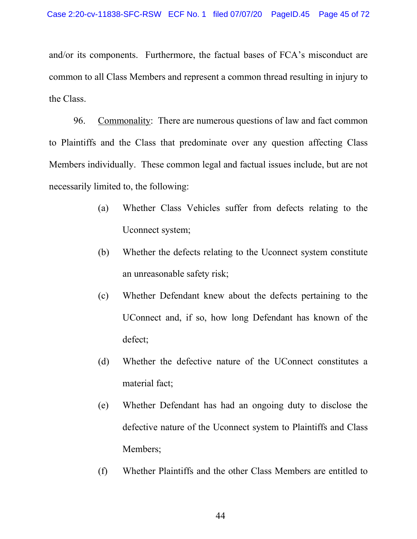and/or its components. Furthermore, the factual bases of FCA's misconduct are common to all Class Members and represent a common thread resulting in injury to the Class.

96. Commonality: There are numerous questions of law and fact common to Plaintiffs and the Class that predominate over any question affecting Class Members individually. These common legal and factual issues include, but are not necessarily limited to, the following:

- (a) Whether Class Vehicles suffer from defects relating to the Uconnect system;
- (b) Whether the defects relating to the Uconnect system constitute an unreasonable safety risk;
- (c) Whether Defendant knew about the defects pertaining to the UConnect and, if so, how long Defendant has known of the defect;
- (d) Whether the defective nature of the UConnect constitutes a material fact;
- (e) Whether Defendant has had an ongoing duty to disclose the defective nature of the Uconnect system to Plaintiffs and Class Members;
- (f) Whether Plaintiffs and the other Class Members are entitled to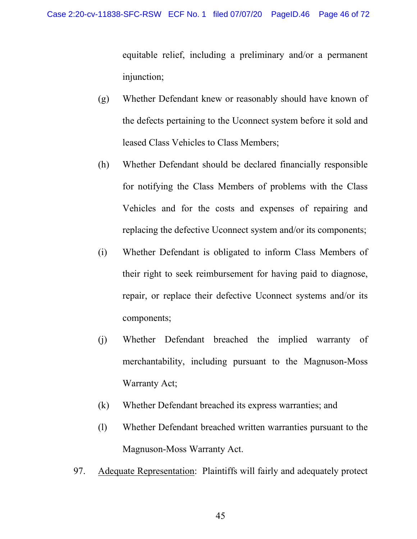equitable relief, including a preliminary and/or a permanent injunction;

- (g) Whether Defendant knew or reasonably should have known of the defects pertaining to the Uconnect system before it sold and leased Class Vehicles to Class Members;
- (h) Whether Defendant should be declared financially responsible for notifying the Class Members of problems with the Class Vehicles and for the costs and expenses of repairing and replacing the defective Uconnect system and/or its components;
- (i) Whether Defendant is obligated to inform Class Members of their right to seek reimbursement for having paid to diagnose, repair, or replace their defective Uconnect systems and/or its components;
- (j) Whether Defendant breached the implied warranty of merchantability, including pursuant to the Magnuson-Moss Warranty Act;
- (k) Whether Defendant breached its express warranties; and
- (l) Whether Defendant breached written warranties pursuant to the Magnuson-Moss Warranty Act.
- 97. Adequate Representation: Plaintiffs will fairly and adequately protect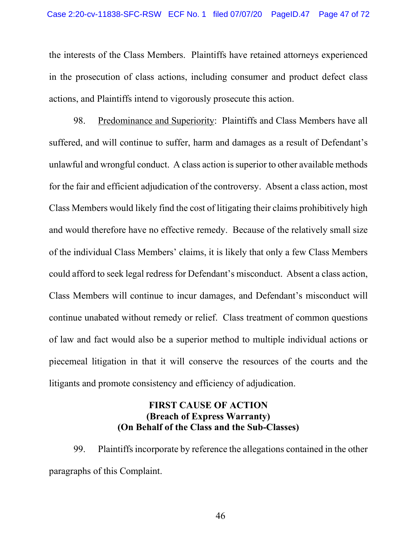the interests of the Class Members. Plaintiffs have retained attorneys experienced in the prosecution of class actions, including consumer and product defect class actions, and Plaintiffs intend to vigorously prosecute this action.

98. Predominance and Superiority: Plaintiffs and Class Members have all suffered, and will continue to suffer, harm and damages as a result of Defendant's unlawful and wrongful conduct. A class action is superior to other available methods for the fair and efficient adjudication of the controversy. Absent a class action, most Class Members would likely find the cost of litigating their claims prohibitively high and would therefore have no effective remedy. Because of the relatively small size of the individual Class Members' claims, it is likely that only a few Class Members could afford to seek legal redress for Defendant's misconduct. Absent a class action, Class Members will continue to incur damages, and Defendant's misconduct will continue unabated without remedy or relief. Class treatment of common questions of law and fact would also be a superior method to multiple individual actions or piecemeal litigation in that it will conserve the resources of the courts and the litigants and promote consistency and efficiency of adjudication.

### **FIRST CAUSE OF ACTION (Breach of Express Warranty) (On Behalf of the Class and the Sub-Classes)**

99. Plaintiffs incorporate by reference the allegations contained in the other paragraphs of this Complaint.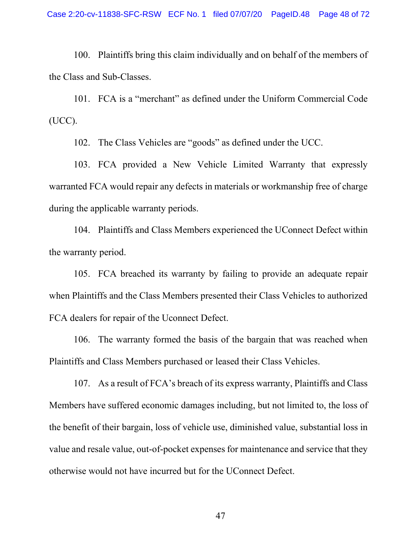100. Plaintiffs bring this claim individually and on behalf of the members of the Class and Sub-Classes.

101. FCA is a "merchant" as defined under the Uniform Commercial Code (UCC).

102. The Class Vehicles are "goods" as defined under the UCC.

103. FCA provided a New Vehicle Limited Warranty that expressly warranted FCA would repair any defects in materials or workmanship free of charge during the applicable warranty periods.

104. Plaintiffs and Class Members experienced the UConnect Defect within the warranty period.

105. FCA breached its warranty by failing to provide an adequate repair when Plaintiffs and the Class Members presented their Class Vehicles to authorized FCA dealers for repair of the Uconnect Defect.

106. The warranty formed the basis of the bargain that was reached when Plaintiffs and Class Members purchased or leased their Class Vehicles.

107. As a result of FCA's breach of its express warranty, Plaintiffs and Class Members have suffered economic damages including, but not limited to, the loss of the benefit of their bargain, loss of vehicle use, diminished value, substantial loss in value and resale value, out-of-pocket expenses for maintenance and service that they otherwise would not have incurred but for the UConnect Defect.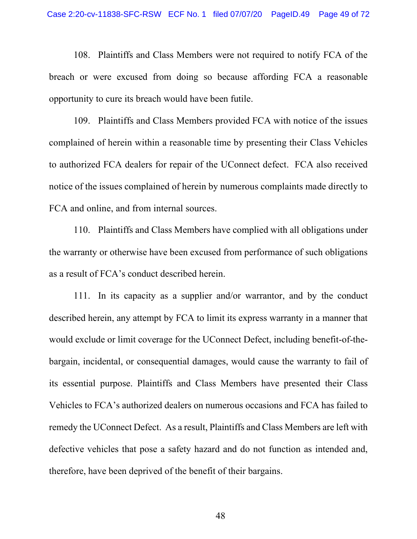108. Plaintiffs and Class Members were not required to notify FCA of the breach or were excused from doing so because affording FCA a reasonable opportunity to cure its breach would have been futile.

109. Plaintiffs and Class Members provided FCA with notice of the issues complained of herein within a reasonable time by presenting their Class Vehicles to authorized FCA dealers for repair of the UConnect defect. FCA also received notice of the issues complained of herein by numerous complaints made directly to FCA and online, and from internal sources.

110. Plaintiffs and Class Members have complied with all obligations under the warranty or otherwise have been excused from performance of such obligations as a result of FCA's conduct described herein.

111. In its capacity as a supplier and/or warrantor, and by the conduct described herein, any attempt by FCA to limit its express warranty in a manner that would exclude or limit coverage for the UConnect Defect, including benefit-of-thebargain, incidental, or consequential damages, would cause the warranty to fail of its essential purpose. Plaintiffs and Class Members have presented their Class Vehicles to FCA's authorized dealers on numerous occasions and FCA has failed to remedy the UConnect Defect. As a result, Plaintiffs and Class Members are left with defective vehicles that pose a safety hazard and do not function as intended and, therefore, have been deprived of the benefit of their bargains.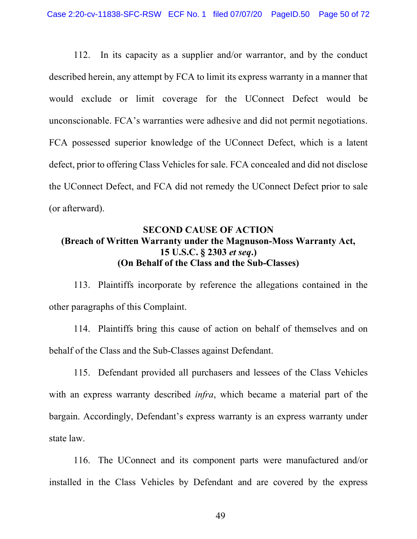112. In its capacity as a supplier and/or warrantor, and by the conduct described herein, any attempt by FCA to limit its express warranty in a manner that would exclude or limit coverage for the UConnect Defect would be unconscionable. FCA's warranties were adhesive and did not permit negotiations. FCA possessed superior knowledge of the UConnect Defect, which is a latent defect, prior to offering Class Vehicles for sale. FCA concealed and did not disclose the UConnect Defect, and FCA did not remedy the UConnect Defect prior to sale (or afterward).

## **SECOND CAUSE OF ACTION (Breach of Written Warranty under the Magnuson-Moss Warranty Act, 15 U.S.C. § 2303** *et seq***.) (On Behalf of the Class and the Sub-Classes)**

113. Plaintiffs incorporate by reference the allegations contained in the other paragraphs of this Complaint.

114. Plaintiffs bring this cause of action on behalf of themselves and on behalf of the Class and the Sub-Classes against Defendant.

115. Defendant provided all purchasers and lessees of the Class Vehicles with an express warranty described *infra*, which became a material part of the bargain. Accordingly, Defendant's express warranty is an express warranty under state law.

116. The UConnect and its component parts were manufactured and/or installed in the Class Vehicles by Defendant and are covered by the express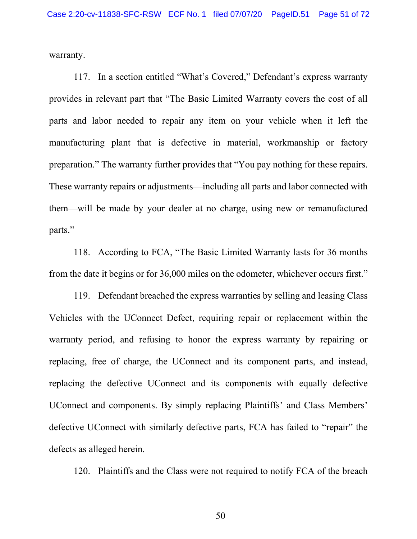warranty.

117. In a section entitled "What's Covered," Defendant's express warranty provides in relevant part that "The Basic Limited Warranty covers the cost of all parts and labor needed to repair any item on your vehicle when it left the manufacturing plant that is defective in material, workmanship or factory preparation." The warranty further provides that "You pay nothing for these repairs. These warranty repairs or adjustments—including all parts and labor connected with them—will be made by your dealer at no charge, using new or remanufactured parts."

118. According to FCA, "The Basic Limited Warranty lasts for 36 months from the date it begins or for 36,000 miles on the odometer, whichever occurs first."

119. Defendant breached the express warranties by selling and leasing Class Vehicles with the UConnect Defect, requiring repair or replacement within the warranty period, and refusing to honor the express warranty by repairing or replacing, free of charge, the UConnect and its component parts, and instead, replacing the defective UConnect and its components with equally defective UConnect and components. By simply replacing Plaintiffs' and Class Members' defective UConnect with similarly defective parts, FCA has failed to "repair" the defects as alleged herein.

120. Plaintiffs and the Class were not required to notify FCA of the breach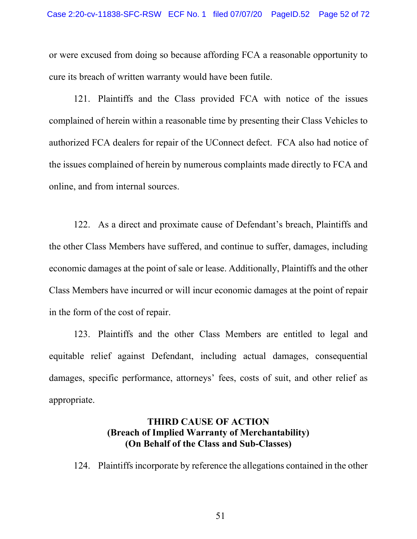or were excused from doing so because affording FCA a reasonable opportunity to cure its breach of written warranty would have been futile.

121. Plaintiffs and the Class provided FCA with notice of the issues complained of herein within a reasonable time by presenting their Class Vehicles to authorized FCA dealers for repair of the UConnect defect. FCA also had notice of the issues complained of herein by numerous complaints made directly to FCA and online, and from internal sources.

122. As a direct and proximate cause of Defendant's breach, Plaintiffs and the other Class Members have suffered, and continue to suffer, damages, including economic damages at the point of sale or lease. Additionally, Plaintiffs and the other Class Members have incurred or will incur economic damages at the point of repair in the form of the cost of repair.

123. Plaintiffs and the other Class Members are entitled to legal and equitable relief against Defendant, including actual damages, consequential damages, specific performance, attorneys' fees, costs of suit, and other relief as appropriate.

## **THIRD CAUSE OF ACTION (Breach of Implied Warranty of Merchantability) (On Behalf of the Class and Sub-Classes)**

124. Plaintiffs incorporate by reference the allegations contained in the other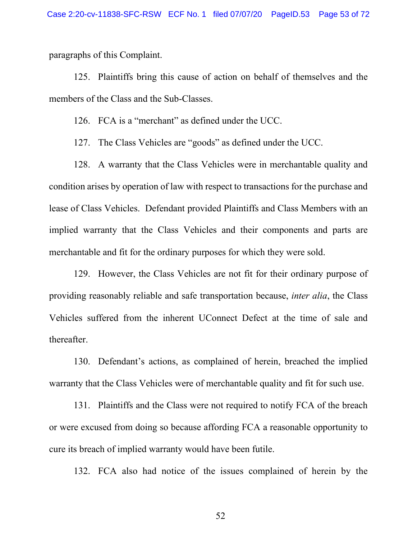paragraphs of this Complaint.

125. Plaintiffs bring this cause of action on behalf of themselves and the members of the Class and the Sub-Classes.

126. FCA is a "merchant" as defined under the UCC.

127. The Class Vehicles are "goods" as defined under the UCC.

128. A warranty that the Class Vehicles were in merchantable quality and condition arises by operation of law with respect to transactions for the purchase and lease of Class Vehicles. Defendant provided Plaintiffs and Class Members with an implied warranty that the Class Vehicles and their components and parts are merchantable and fit for the ordinary purposes for which they were sold.

129. However, the Class Vehicles are not fit for their ordinary purpose of providing reasonably reliable and safe transportation because, *inter alia*, the Class Vehicles suffered from the inherent UConnect Defect at the time of sale and thereafter.

130. Defendant's actions, as complained of herein, breached the implied warranty that the Class Vehicles were of merchantable quality and fit for such use.

131. Plaintiffs and the Class were not required to notify FCA of the breach or were excused from doing so because affording FCA a reasonable opportunity to cure its breach of implied warranty would have been futile.

132. FCA also had notice of the issues complained of herein by the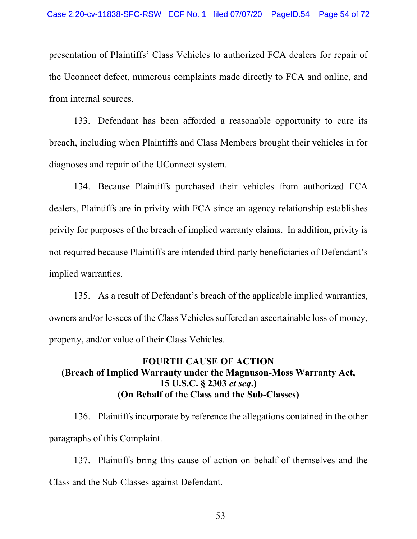presentation of Plaintiffs' Class Vehicles to authorized FCA dealers for repair of the Uconnect defect, numerous complaints made directly to FCA and online, and from internal sources.

133. Defendant has been afforded a reasonable opportunity to cure its breach, including when Plaintiffs and Class Members brought their vehicles in for diagnoses and repair of the UConnect system.

134. Because Plaintiffs purchased their vehicles from authorized FCA dealers, Plaintiffs are in privity with FCA since an agency relationship establishes privity for purposes of the breach of implied warranty claims. In addition, privity is not required because Plaintiffs are intended third-party beneficiaries of Defendant's implied warranties.

135. As a result of Defendant's breach of the applicable implied warranties, owners and/or lessees of the Class Vehicles suffered an ascertainable loss of money, property, and/or value of their Class Vehicles.

## **FOURTH CAUSE OF ACTION (Breach of Implied Warranty under the Magnuson-Moss Warranty Act, 15 U.S.C. § 2303** *et seq***.) (On Behalf of the Class and the Sub-Classes)**

136. Plaintiffs incorporate by reference the allegations contained in the other paragraphs of this Complaint.

137. Plaintiffs bring this cause of action on behalf of themselves and the Class and the Sub-Classes against Defendant.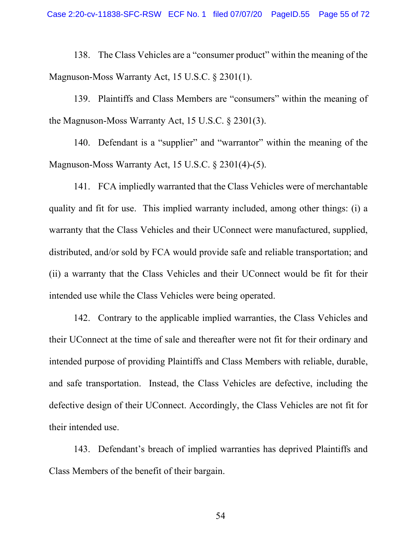138. The Class Vehicles are a "consumer product" within the meaning of the Magnuson-Moss Warranty Act, 15 U.S.C. § 2301(1).

139. Plaintiffs and Class Members are "consumers" within the meaning of the Magnuson-Moss Warranty Act, 15 U.S.C. § 2301(3).

140. Defendant is a "supplier" and "warrantor" within the meaning of the Magnuson-Moss Warranty Act, 15 U.S.C. § 2301(4)-(5).

141. FCA impliedly warranted that the Class Vehicles were of merchantable quality and fit for use. This implied warranty included, among other things: (i) a warranty that the Class Vehicles and their UConnect were manufactured, supplied, distributed, and/or sold by FCA would provide safe and reliable transportation; and (ii) a warranty that the Class Vehicles and their UConnect would be fit for their intended use while the Class Vehicles were being operated.

142. Contrary to the applicable implied warranties, the Class Vehicles and their UConnect at the time of sale and thereafter were not fit for their ordinary and intended purpose of providing Plaintiffs and Class Members with reliable, durable, and safe transportation. Instead, the Class Vehicles are defective, including the defective design of their UConnect. Accordingly, the Class Vehicles are not fit for their intended use.

143. Defendant's breach of implied warranties has deprived Plaintiffs and Class Members of the benefit of their bargain.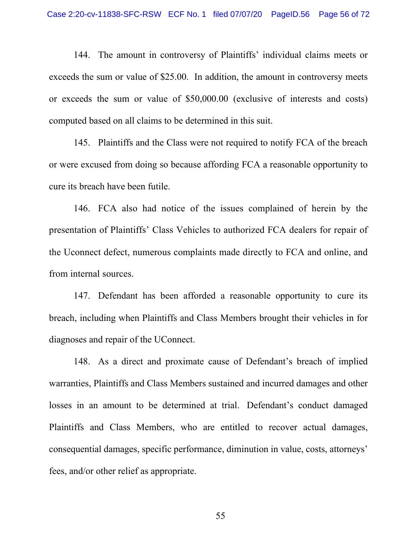144. The amount in controversy of Plaintiffs' individual claims meets or exceeds the sum or value of \$25.00. In addition, the amount in controversy meets or exceeds the sum or value of \$50,000.00 (exclusive of interests and costs) computed based on all claims to be determined in this suit.

145. Plaintiffs and the Class were not required to notify FCA of the breach or were excused from doing so because affording FCA a reasonable opportunity to cure its breach have been futile.

146. FCA also had notice of the issues complained of herein by the presentation of Plaintiffs' Class Vehicles to authorized FCA dealers for repair of the Uconnect defect, numerous complaints made directly to FCA and online, and from internal sources.

147. Defendant has been afforded a reasonable opportunity to cure its breach, including when Plaintiffs and Class Members brought their vehicles in for diagnoses and repair of the UConnect.

148. As a direct and proximate cause of Defendant's breach of implied warranties, Plaintiffs and Class Members sustained and incurred damages and other losses in an amount to be determined at trial. Defendant's conduct damaged Plaintiffs and Class Members, who are entitled to recover actual damages, consequential damages, specific performance, diminution in value, costs, attorneys' fees, and/or other relief as appropriate.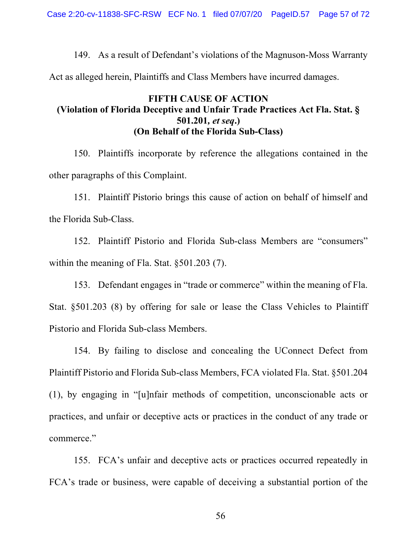149. As a result of Defendant's violations of the Magnuson-Moss Warranty

Act as alleged herein, Plaintiffs and Class Members have incurred damages.

# **FIFTH CAUSE OF ACTION (Violation of Florida Deceptive and Unfair Trade Practices Act Fla. Stat. § 501.201***, et seq***.) (On Behalf of the Florida Sub-Class)**

150. Plaintiffs incorporate by reference the allegations contained in the other paragraphs of this Complaint.

151. Plaintiff Pistorio brings this cause of action on behalf of himself and the Florida Sub-Class.

152. Plaintiff Pistorio and Florida Sub-class Members are "consumers" within the meaning of Fla. Stat. §501.203 (7).

153. Defendant engages in "trade or commerce" within the meaning of Fla. Stat. §501.203 (8) by offering for sale or lease the Class Vehicles to Plaintiff Pistorio and Florida Sub-class Members.

154. By failing to disclose and concealing the UConnect Defect from Plaintiff Pistorio and Florida Sub-class Members, FCA violated Fla. Stat. §501.204 (1), by engaging in "[u]nfair methods of competition, unconscionable acts or practices, and unfair or deceptive acts or practices in the conduct of any trade or commerce."

155. FCA's unfair and deceptive acts or practices occurred repeatedly in FCA's trade or business, were capable of deceiving a substantial portion of the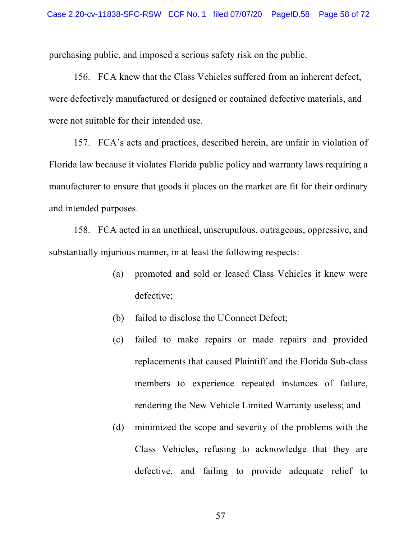purchasing public, and imposed a serious safety risk on the public.

156. FCA knew that the Class Vehicles suffered from an inherent defect, were defectively manufactured or designed or contained defective materials, and were not suitable for their intended use.

157. FCA's acts and practices, described herein, are unfair in violation of Florida law because it violates Florida public policy and warranty laws requiring a manufacturer to ensure that goods it places on the market are fit for their ordinary and intended purposes.

158. FCA acted in an unethical, unscrupulous, outrageous, oppressive, and substantially injurious manner, in at least the following respects:

- (a) promoted and sold or leased Class Vehicles it knew were defective;
- (b) failed to disclose the UConnect Defect;
- (c) failed to make repairs or made repairs and provided replacements that caused Plaintiff and the Florida Sub-class members to experience repeated instances of failure, rendering the New Vehicle Limited Warranty useless; and
- (d) minimized the scope and severity of the problems with the Class Vehicles, refusing to acknowledge that they are defective, and failing to provide adequate relief to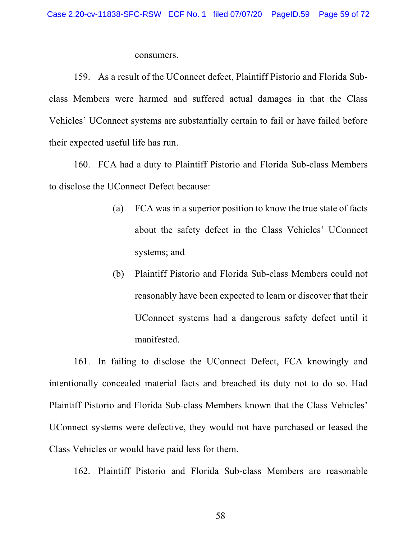#### consumers.

159. As a result of the UConnect defect, Plaintiff Pistorio and Florida Subclass Members were harmed and suffered actual damages in that the Class Vehicles' UConnect systems are substantially certain to fail or have failed before their expected useful life has run.

160. FCA had a duty to Plaintiff Pistorio and Florida Sub-class Members to disclose the UConnect Defect because:

- (a) FCA was in a superior position to know the true state of facts about the safety defect in the Class Vehicles' UConnect systems; and
- (b) Plaintiff Pistorio and Florida Sub-class Members could not reasonably have been expected to learn or discover that their UConnect systems had a dangerous safety defect until it manifested.

161. In failing to disclose the UConnect Defect, FCA knowingly and intentionally concealed material facts and breached its duty not to do so. Had Plaintiff Pistorio and Florida Sub-class Members known that the Class Vehicles' UConnect systems were defective, they would not have purchased or leased the Class Vehicles or would have paid less for them.

162. Plaintiff Pistorio and Florida Sub-class Members are reasonable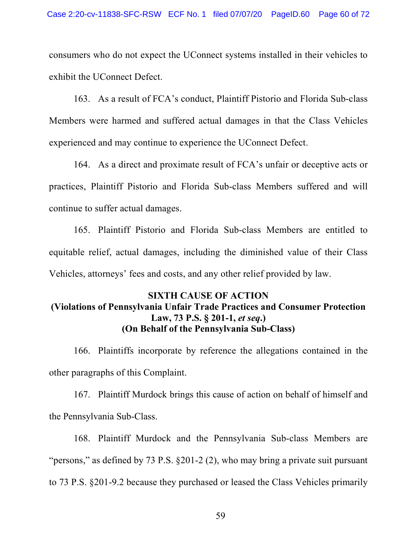consumers who do not expect the UConnect systems installed in their vehicles to exhibit the UConnect Defect.

163. As a result of FCA's conduct, Plaintiff Pistorio and Florida Sub-class Members were harmed and suffered actual damages in that the Class Vehicles experienced and may continue to experience the UConnect Defect.

164. As a direct and proximate result of FCA's unfair or deceptive acts or practices, Plaintiff Pistorio and Florida Sub-class Members suffered and will continue to suffer actual damages.

165. Plaintiff Pistorio and Florida Sub-class Members are entitled to equitable relief, actual damages, including the diminished value of their Class Vehicles, attorneys' fees and costs, and any other relief provided by law.

# **SIXTH CAUSE OF ACTION (Violations of Pennsylvania Unfair Trade Practices and Consumer Protection Law, 73 P.S. § 201-1,** *et seq***.) (On Behalf of the Pennsylvania Sub-Class)**

166. Plaintiffs incorporate by reference the allegations contained in the other paragraphs of this Complaint.

167. Plaintiff Murdock brings this cause of action on behalf of himself and the Pennsylvania Sub-Class.

168. Plaintiff Murdock and the Pennsylvania Sub-class Members are "persons," as defined by 73 P.S. §201-2 (2), who may bring a private suit pursuant to 73 P.S. §201-9.2 because they purchased or leased the Class Vehicles primarily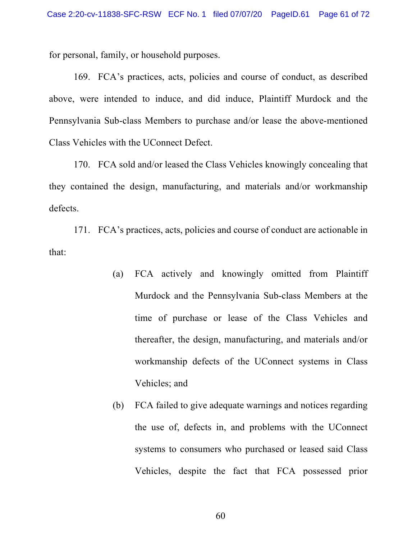for personal, family, or household purposes.

169. FCA's practices, acts, policies and course of conduct, as described above, were intended to induce, and did induce, Plaintiff Murdock and the Pennsylvania Sub-class Members to purchase and/or lease the above-mentioned Class Vehicles with the UConnect Defect.

170. FCA sold and/or leased the Class Vehicles knowingly concealing that they contained the design, manufacturing, and materials and/or workmanship defects.

171. FCA's practices, acts, policies and course of conduct are actionable in that:

- (a) FCA actively and knowingly omitted from Plaintiff Murdock and the Pennsylvania Sub-class Members at the time of purchase or lease of the Class Vehicles and thereafter, the design, manufacturing, and materials and/or workmanship defects of the UConnect systems in Class Vehicles; and
- (b) FCA failed to give adequate warnings and notices regarding the use of, defects in, and problems with the UConnect systems to consumers who purchased or leased said Class Vehicles, despite the fact that FCA possessed prior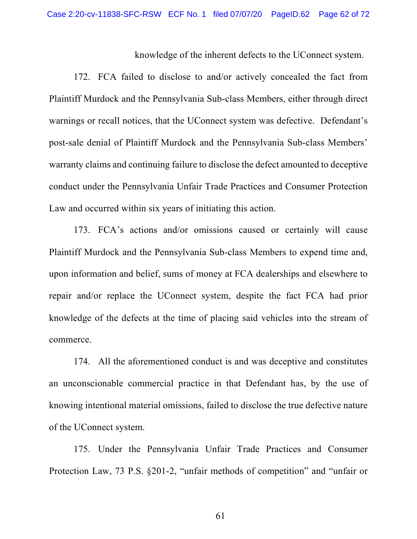knowledge of the inherent defects to the UConnect system.

172. FCA failed to disclose to and/or actively concealed the fact from Plaintiff Murdock and the Pennsylvania Sub-class Members, either through direct warnings or recall notices, that the UConnect system was defective. Defendant's post-sale denial of Plaintiff Murdock and the Pennsylvania Sub-class Members' warranty claims and continuing failure to disclose the defect amounted to deceptive conduct under the Pennsylvania Unfair Trade Practices and Consumer Protection Law and occurred within six years of initiating this action.

173. FCA's actions and/or omissions caused or certainly will cause Plaintiff Murdock and the Pennsylvania Sub-class Members to expend time and, upon information and belief, sums of money at FCA dealerships and elsewhere to repair and/or replace the UConnect system, despite the fact FCA had prior knowledge of the defects at the time of placing said vehicles into the stream of commerce.

174. All the aforementioned conduct is and was deceptive and constitutes an unconscionable commercial practice in that Defendant has, by the use of knowing intentional material omissions, failed to disclose the true defective nature of the UConnect system.

175. Under the Pennsylvania Unfair Trade Practices and Consumer Protection Law, 73 P.S. §201-2, "unfair methods of competition" and "unfair or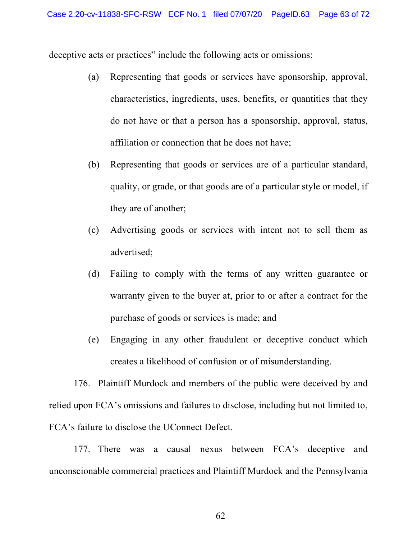deceptive acts or practices" include the following acts or omissions:

- (a) Representing that goods or services have sponsorship, approval, characteristics, ingredients, uses, benefits, or quantities that they do not have or that a person has a sponsorship, approval, status, affiliation or connection that he does not have;
- (b) Representing that goods or services are of a particular standard, quality, or grade, or that goods are of a particular style or model, if they are of another;
- (c) Advertising goods or services with intent not to sell them as advertised;
- (d) Failing to comply with the terms of any written guarantee or warranty given to the buyer at, prior to or after a contract for the purchase of goods or services is made; and
- (e) Engaging in any other fraudulent or deceptive conduct which creates a likelihood of confusion or of misunderstanding.

176. Plaintiff Murdock and members of the public were deceived by and relied upon FCA's omissions and failures to disclose, including but not limited to, FCA's failure to disclose the UConnect Defect.

177. There was a causal nexus between FCA's deceptive and unconscionable commercial practices and Plaintiff Murdock and the Pennsylvania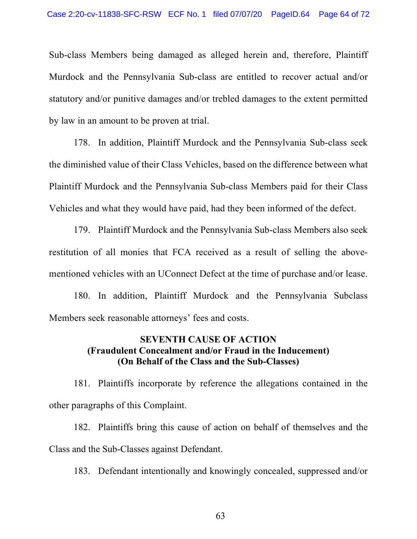Sub-class Members being damaged as alleged herein and, therefore, Plaintiff Murdock and the Pennsylvania Sub-class are entitled to recover actual and/or statutory and/or punitive damages and/or trebled damages to the extent permitted by law in an amount to be proven at trial.

178. In addition, Plaintiff Murdock and the Pennsylvania Sub-class seek the diminished value of their Class Vehicles, based on the difference between what Plaintiff Murdock and the Pennsylvania Sub-class Members paid for their Class Vehicles and what they would have paid, had they been informed of the defect.

179. Plaintiff Murdock and the Pennsylvania Sub-class Members also seek restitution of all monies that FCA received as a result of selling the abovementioned vehicles with an UConnect Defect at the time of purchase and/or lease.

180. In addition, Plaintiff Murdock and the Pennsylvania Subclass Members seek reasonable attorneys' fees and costs.

## **SEVENTH CAUSE OF ACTION (Fraudulent Concealment and/or Fraud in the Inducement) (On Behalf of the Class and the Sub-Classes)**

181. Plaintiffs incorporate by reference the allegations contained in the other paragraphs of this Complaint.

182. Plaintiffs bring this cause of action on behalf of themselves and the Class and the Sub-Classes against Defendant.

183. Defendant intentionally and knowingly concealed, suppressed and/or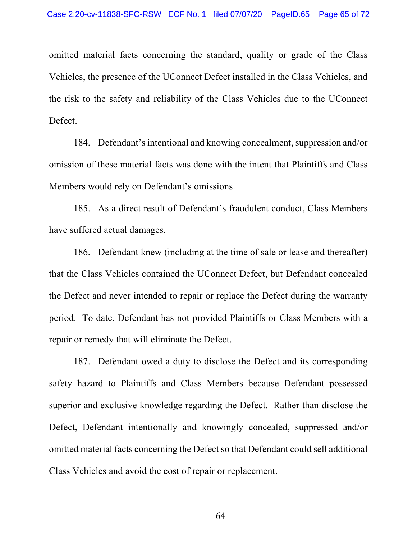omitted material facts concerning the standard, quality or grade of the Class Vehicles, the presence of the UConnect Defect installed in the Class Vehicles, and the risk to the safety and reliability of the Class Vehicles due to the UConnect Defect.

184. Defendant's intentional and knowing concealment, suppression and/or omission of these material facts was done with the intent that Plaintiffs and Class Members would rely on Defendant's omissions.

185. As a direct result of Defendant's fraudulent conduct, Class Members have suffered actual damages.

186. Defendant knew (including at the time of sale or lease and thereafter) that the Class Vehicles contained the UConnect Defect, but Defendant concealed the Defect and never intended to repair or replace the Defect during the warranty period. To date, Defendant has not provided Plaintiffs or Class Members with a repair or remedy that will eliminate the Defect.

187. Defendant owed a duty to disclose the Defect and its corresponding safety hazard to Plaintiffs and Class Members because Defendant possessed superior and exclusive knowledge regarding the Defect. Rather than disclose the Defect, Defendant intentionally and knowingly concealed, suppressed and/or omitted material facts concerning the Defect so that Defendant could sell additional Class Vehicles and avoid the cost of repair or replacement.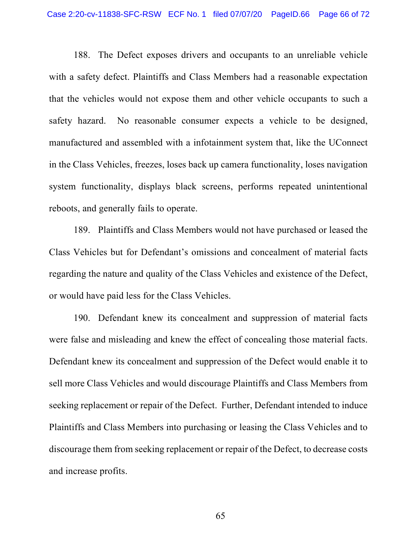188. The Defect exposes drivers and occupants to an unreliable vehicle with a safety defect. Plaintiffs and Class Members had a reasonable expectation that the vehicles would not expose them and other vehicle occupants to such a safety hazard. No reasonable consumer expects a vehicle to be designed, manufactured and assembled with a infotainment system that, like the UConnect in the Class Vehicles, freezes, loses back up camera functionality, loses navigation system functionality, displays black screens, performs repeated unintentional reboots, and generally fails to operate.

189. Plaintiffs and Class Members would not have purchased or leased the Class Vehicles but for Defendant's omissions and concealment of material facts regarding the nature and quality of the Class Vehicles and existence of the Defect, or would have paid less for the Class Vehicles.

190. Defendant knew its concealment and suppression of material facts were false and misleading and knew the effect of concealing those material facts. Defendant knew its concealment and suppression of the Defect would enable it to sell more Class Vehicles and would discourage Plaintiffs and Class Members from seeking replacement or repair of the Defect. Further, Defendant intended to induce Plaintiffs and Class Members into purchasing or leasing the Class Vehicles and to discourage them from seeking replacement or repair of the Defect, to decrease costs and increase profits.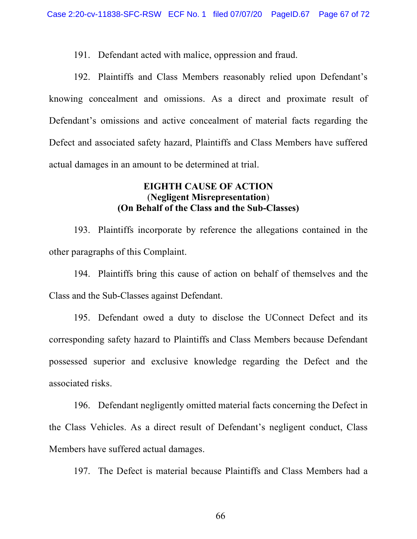191. Defendant acted with malice, oppression and fraud.

192. Plaintiffs and Class Members reasonably relied upon Defendant's knowing concealment and omissions. As a direct and proximate result of Defendant's omissions and active concealment of material facts regarding the Defect and associated safety hazard, Plaintiffs and Class Members have suffered actual damages in an amount to be determined at trial.

### **EIGHTH CAUSE OF ACTION** (**Negligent Misrepresentation**) **(On Behalf of the Class and the Sub-Classes)**

193. Plaintiffs incorporate by reference the allegations contained in the other paragraphs of this Complaint.

194. Plaintiffs bring this cause of action on behalf of themselves and the Class and the Sub-Classes against Defendant.

195. Defendant owed a duty to disclose the UConnect Defect and its corresponding safety hazard to Plaintiffs and Class Members because Defendant possessed superior and exclusive knowledge regarding the Defect and the associated risks.

196. Defendant negligently omitted material facts concerning the Defect in the Class Vehicles. As a direct result of Defendant's negligent conduct, Class Members have suffered actual damages.

197. The Defect is material because Plaintiffs and Class Members had a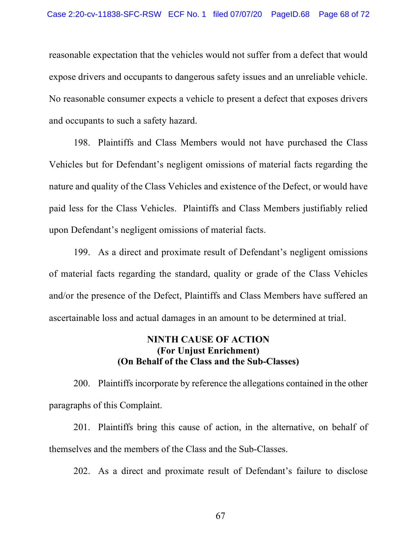reasonable expectation that the vehicles would not suffer from a defect that would expose drivers and occupants to dangerous safety issues and an unreliable vehicle. No reasonable consumer expects a vehicle to present a defect that exposes drivers and occupants to such a safety hazard.

198. Plaintiffs and Class Members would not have purchased the Class Vehicles but for Defendant's negligent omissions of material facts regarding the nature and quality of the Class Vehicles and existence of the Defect, or would have paid less for the Class Vehicles. Plaintiffs and Class Members justifiably relied upon Defendant's negligent omissions of material facts.

199. As a direct and proximate result of Defendant's negligent omissions of material facts regarding the standard, quality or grade of the Class Vehicles and/or the presence of the Defect, Plaintiffs and Class Members have suffered an ascertainable loss and actual damages in an amount to be determined at trial.

### **NINTH CAUSE OF ACTION (For Unjust Enrichment) (On Behalf of the Class and the Sub-Classes)**

200. Plaintiffs incorporate by reference the allegations contained in the other paragraphs of this Complaint.

201. Plaintiffs bring this cause of action, in the alternative, on behalf of themselves and the members of the Class and the Sub-Classes.

202. As a direct and proximate result of Defendant's failure to disclose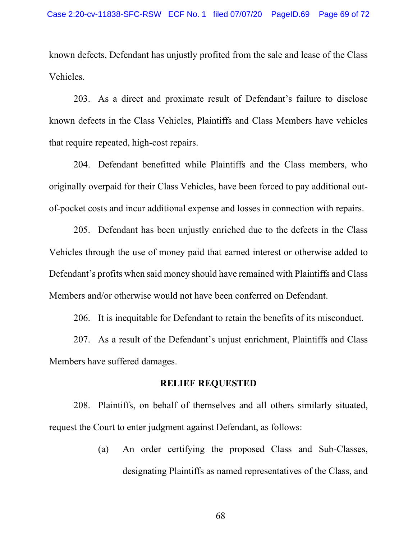known defects, Defendant has unjustly profited from the sale and lease of the Class Vehicles.

203. As a direct and proximate result of Defendant's failure to disclose known defects in the Class Vehicles, Plaintiffs and Class Members have vehicles that require repeated, high-cost repairs.

204. Defendant benefitted while Plaintiffs and the Class members, who originally overpaid for their Class Vehicles, have been forced to pay additional outof-pocket costs and incur additional expense and losses in connection with repairs.

205. Defendant has been unjustly enriched due to the defects in the Class Vehicles through the use of money paid that earned interest or otherwise added to Defendant's profits when said money should have remained with Plaintiffs and Class Members and/or otherwise would not have been conferred on Defendant.

206. It is inequitable for Defendant to retain the benefits of its misconduct.

207. As a result of the Defendant's unjust enrichment, Plaintiffs and Class Members have suffered damages.

#### **RELIEF REQUESTED**

208. Plaintiffs, on behalf of themselves and all others similarly situated, request the Court to enter judgment against Defendant, as follows:

> (a) An order certifying the proposed Class and Sub-Classes, designating Plaintiffs as named representatives of the Class, and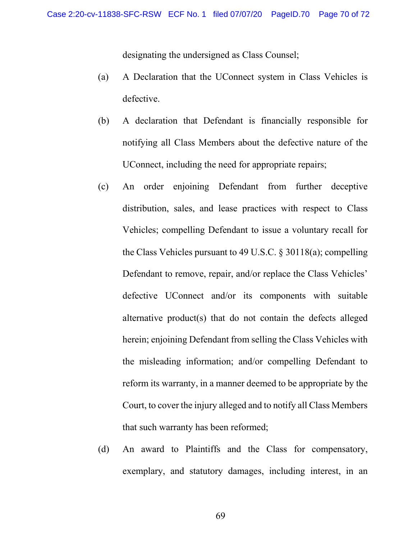designating the undersigned as Class Counsel;

- (a) A Declaration that the UConnect system in Class Vehicles is defective.
- (b) A declaration that Defendant is financially responsible for notifying all Class Members about the defective nature of the UConnect, including the need for appropriate repairs;
- (c) An order enjoining Defendant from further deceptive distribution, sales, and lease practices with respect to Class Vehicles; compelling Defendant to issue a voluntary recall for the Class Vehicles pursuant to 49 U.S.C. § 30118(a); compelling Defendant to remove, repair, and/or replace the Class Vehicles' defective UConnect and/or its components with suitable alternative product(s) that do not contain the defects alleged herein; enjoining Defendant from selling the Class Vehicles with the misleading information; and/or compelling Defendant to reform its warranty, in a manner deemed to be appropriate by the Court, to cover the injury alleged and to notify all Class Members that such warranty has been reformed;
- (d) An award to Plaintiffs and the Class for compensatory, exemplary, and statutory damages, including interest, in an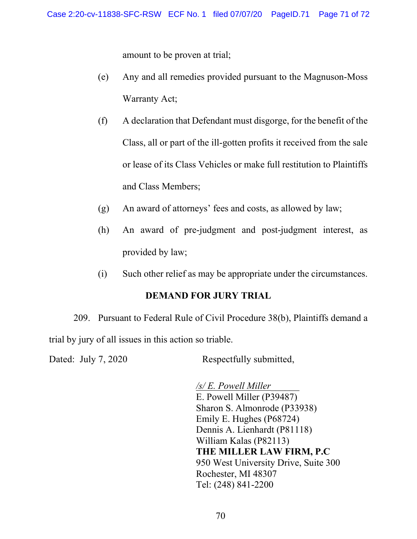amount to be proven at trial;

- (e) Any and all remedies provided pursuant to the Magnuson-Moss Warranty Act;
- (f) A declaration that Defendant must disgorge, for the benefit of the Class, all or part of the ill-gotten profits it received from the sale or lease of its Class Vehicles or make full restitution to Plaintiffs and Class Members;
- (g) An award of attorneys' fees and costs, as allowed by law;
- (h) An award of pre-judgment and post-judgment interest, as provided by law;
- (i) Such other relief as may be appropriate under the circumstances.

### **DEMAND FOR JURY TRIAL**

209. Pursuant to Federal Rule of Civil Procedure 38(b), Plaintiffs demand a trial by jury of all issues in this action so triable.

Dated: July 7, 2020 Respectfully submitted,

*/s/ E. Powell Miller*\_\_\_\_\_\_ E. Powell Miller (P39487) Sharon S. Almonrode (P33938) Emily E. Hughes (P68724) Dennis A. Lienhardt (P81118) William Kalas (P82113) **THE MILLER LAW FIRM, P.C** 950 West University Drive, Suite 300 Rochester, MI 48307 Tel: (248) 841-2200